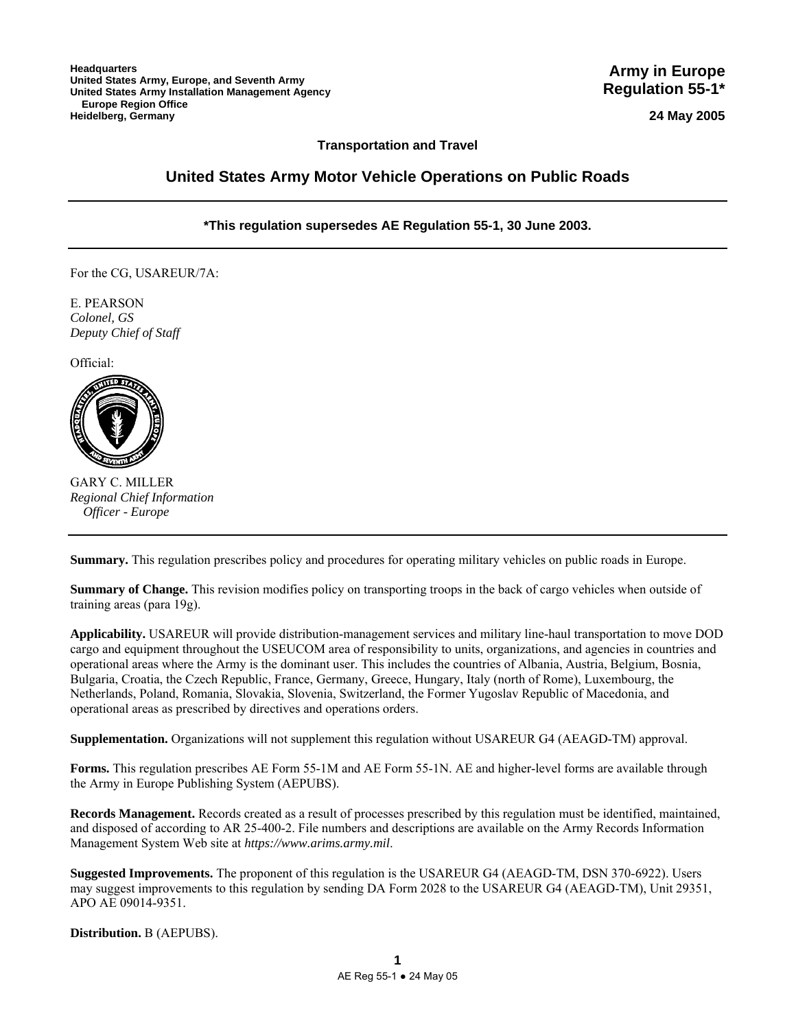**Army in Europe Regulation 55-1\***

**24 May 2005**

# **Transportation and Travel**

# **United States Army Motor Vehicle Operations on Public Roads**

# **\*This regulation supersedes AE Regulation 55-1, 30 June 2003.**

For the CG, USAREUR/7A:

E. PEARSON *Colonel, GS Deputy Chief of Staff*

Official:



GARY C. MILLER *Regional Chief Information Officer - Europe*

**Summary.** This regulation prescribes policy and procedures for operating military vehicles on public roads in Europe.

**Summary of Change.** This revision modifies policy on transporting troops in the back of cargo vehicles when outside of training areas (para 19g).

**Applicability.** USAREUR will provide distribution-management services and military line-haul transportation to move DOD cargo and equipment throughout the USEUCOM area of responsibility to units, organizations, and agencies in countries and operational areas where the Army is the dominant user. This includes the countries of Albania, Austria, Belgium, Bosnia, Bulgaria, Croatia, the Czech Republic, France, Germany, Greece, Hungary, Italy (north of Rome), Luxembourg, the Netherlands, Poland, Romania, Slovakia, Slovenia, Switzerland, the Former Yugoslav Republic of Macedonia, and operational areas as prescribed by directives and operations orders.

**Supplementation.** Organizations will not supplement this regulation without USAREUR G4 (AEAGD-TM) approval.

**Forms.** This regulation prescribes AE Form 55-1M and AE Form 55-1N. AE and higher-level forms are available through the Army in Europe Publishing System (AEPUBS).

**Records Management.** Records created as a result of processes prescribed by this regulation must be identified, maintained, and disposed of according to AR 25-400-2. File numbers and descriptions are available on the Army Records Information Management System Web site at *https://www.arims.army.mil*.

**Suggested Improvements.** The proponent of this regulation is the USAREUR G4 (AEAGD-TM, DSN 370-6922). Users may suggest improvements to this regulation by sending DA Form 2028 to the USAREUR G4 (AEAGD-TM), Unit 29351, APO AE 09014-9351.

**Distribution.** B (AEPUBS).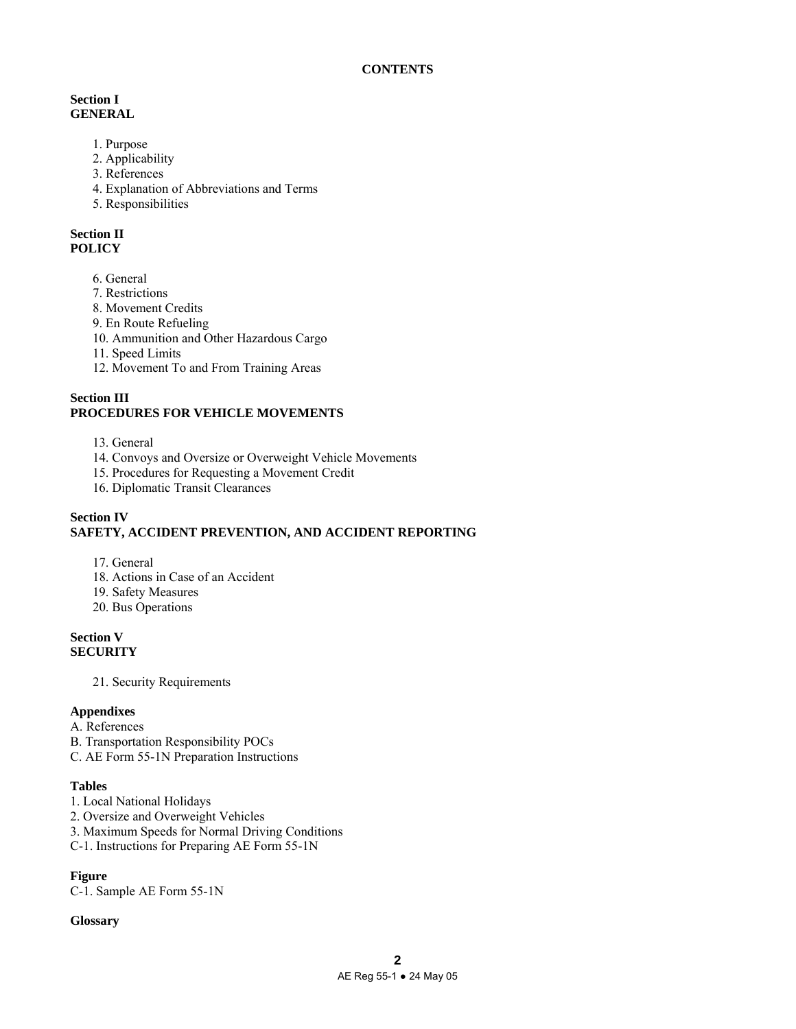# **Section I GENERAL**

- 1. Purpose
- 2. Applicability
- 3. References
- 4. Explanation of Abbreviations and Terms
- 5. Responsibilities

# **Section II POLICY**

- 6. General
- 7. Restrictions
- 8. Movement Credits
- 9. En Route Refueling
- 10. Ammunition and Other Hazardous Cargo
- 11. Speed Limits
- 12. Movement To and From Training Areas

# **Section III PROCEDURES FOR VEHICLE MOVEMENTS**

- 13. General
- 14. Convoys and Oversize or Overweight Vehicle Movements
- 15. Procedures for Requesting a Movement Credit
- 16. Diplomatic Transit Clearances

# **Section IV SAFETY, ACCIDENT PREVENTION, AND ACCIDENT REPORTING**

- 17. General
- 18. Actions in Case of an Accident
- 19. Safety Measures
- 20. Bus Operations

# **Section V SECURITY**

21. Security Requirements

# **Appendixes**

- A. References
- B. Transportation Responsibility POCs
- C. AE Form 55-1N Preparation Instructions

# **Tables**

- 1. Local National Holidays
- 2. Oversize and Overweight Vehicles
- 3. Maximum Speeds for Normal Driving Conditions
- C-1. Instructions for Preparing AE Form 55-1N

# **Figure**

C-1. Sample AE Form 55-1N

# **Glossary**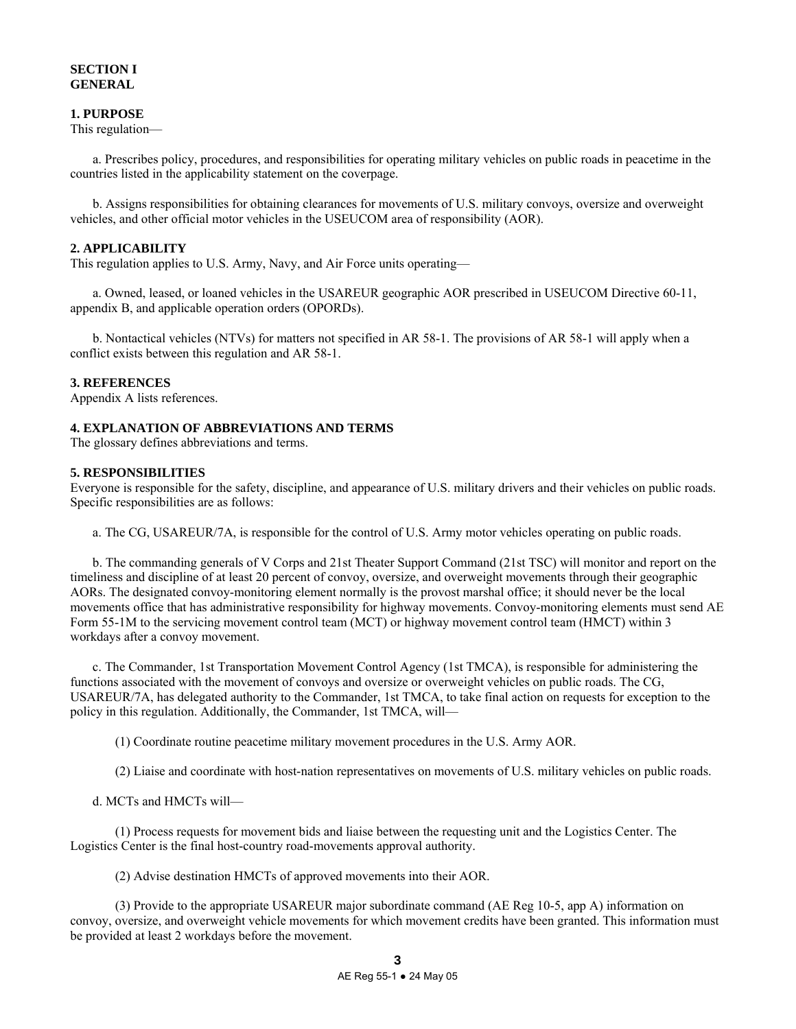# **SECTION I GENERAL**

# **1. PURPOSE**

This regulation—

 a. Prescribes policy, procedures, and responsibilities for operating military vehicles on public roads in peacetime in the countries listed in the applicability statement on the coverpage.

 b. Assigns responsibilities for obtaining clearances for movements of U.S. military convoys, oversize and overweight vehicles, and other official motor vehicles in the USEUCOM area of responsibility (AOR).

### **2. APPLICABILITY**

This regulation applies to U.S. Army, Navy, and Air Force units operating—

 a. Owned, leased, or loaned vehicles in the USAREUR geographic AOR prescribed in USEUCOM Directive 60-11, appendix B, and applicable operation orders (OPORDs).

 b. Nontactical vehicles (NTVs) for matters not specified in AR 58-1. The provisions of AR 58-1 will apply when a conflict exists between this regulation and AR 58-1.

### **3. REFERENCES**

Appendix A lists references.

### **4. EXPLANATION OF ABBREVIATIONS AND TERMS**

The glossary defines abbreviations and terms.

### **5. RESPONSIBILITIES**

Everyone is responsible for the safety, discipline, and appearance of U.S. military drivers and their vehicles on public roads. Specific responsibilities are as follows:

a. The CG, USAREUR/7A, is responsible for the control of U.S. Army motor vehicles operating on public roads.

 b. The commanding generals of V Corps and 21st Theater Support Command (21st TSC) will monitor and report on the timeliness and discipline of at least 20 percent of convoy, oversize, and overweight movements through their geographic AORs. The designated convoy-monitoring element normally is the provost marshal office; it should never be the local movements office that has administrative responsibility for highway movements. Convoy-monitoring elements must send AE Form 55-1M to the servicing movement control team (MCT) or highway movement control team (HMCT) within 3 workdays after a convoy movement.

 c. The Commander, 1st Transportation Movement Control Agency (1st TMCA), is responsible for administering the functions associated with the movement of convoys and oversize or overweight vehicles on public roads. The CG, USAREUR/7A, has delegated authority to the Commander, 1st TMCA, to take final action on requests for exception to the policy in this regulation. Additionally, the Commander, 1st TMCA, will—

(1) Coordinate routine peacetime military movement procedures in the U.S. Army AOR.

(2) Liaise and coordinate with host-nation representatives on movements of U.S. military vehicles on public roads.

d. MCTs and HMCTs will—

 (1) Process requests for movement bids and liaise between the requesting unit and the Logistics Center. The Logistics Center is the final host-country road-movements approval authority.

(2) Advise destination HMCTs of approved movements into their AOR.

 (3) Provide to the appropriate USAREUR major subordinate command (AE Reg 10-5, app A) information on convoy, oversize, and overweight vehicle movements for which movement credits have been granted. This information must be provided at least 2 workdays before the movement.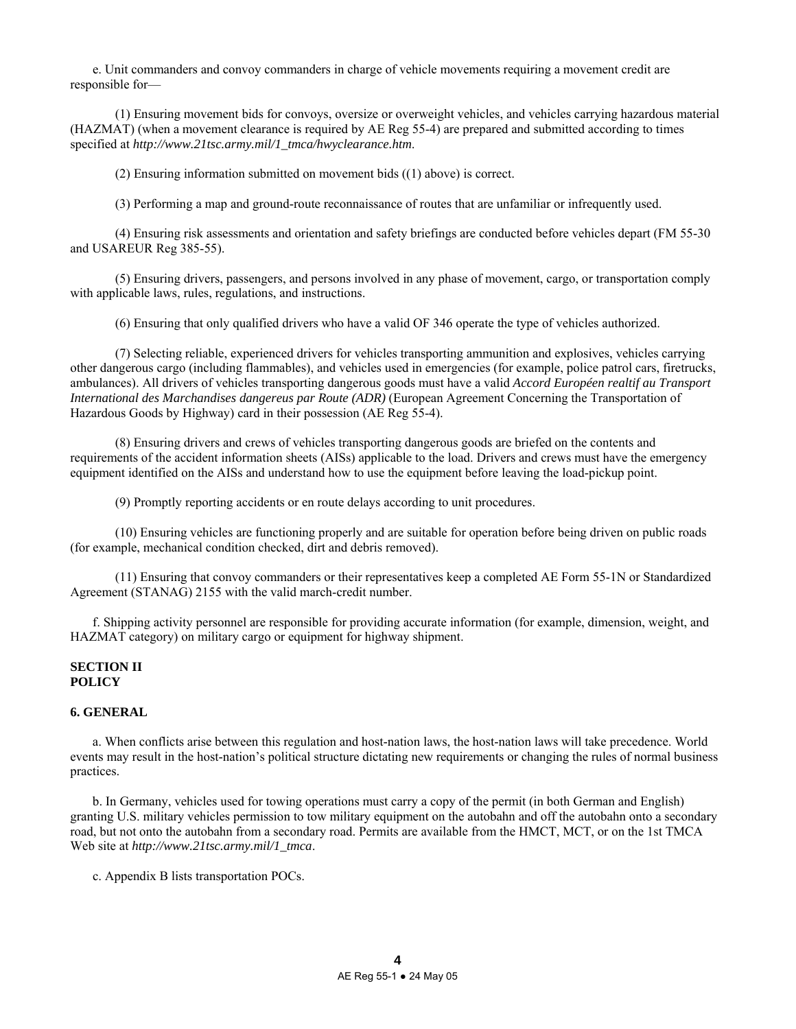e. Unit commanders and convoy commanders in charge of vehicle movements requiring a movement credit are responsible for—

 (1) Ensuring movement bids for convoys, oversize or overweight vehicles, and vehicles carrying hazardous material (HAZMAT) (when a movement clearance is required by AE Reg 55-4) are prepared and submitted according to times specified at *http://www.21tsc.army.mil/1\_tmca/hwyclearance.htm*.

(2) Ensuring information submitted on movement bids ((1) above) is correct.

(3) Performing a map and ground-route reconnaissance of routes that are unfamiliar or infrequently used.

 (4) Ensuring risk assessments and orientation and safety briefings are conducted before vehicles depart (FM 55-30 and USAREUR Reg 385-55).

 (5) Ensuring drivers, passengers, and persons involved in any phase of movement, cargo, or transportation comply with applicable laws, rules, regulations, and instructions.

(6) Ensuring that only qualified drivers who have a valid OF 346 operate the type of vehicles authorized.

 (7) Selecting reliable, experienced drivers for vehicles transporting ammunition and explosives, vehicles carrying other dangerous cargo (including flammables), and vehicles used in emergencies (for example, police patrol cars, firetrucks, ambulances). All drivers of vehicles transporting dangerous goods must have a valid *Accord Européen realtif au Transport International des Marchandises dangereus par Route (ADR)* (European Agreement Concerning the Transportation of Hazardous Goods by Highway) card in their possession (AE Reg 55-4).

 (8) Ensuring drivers and crews of vehicles transporting dangerous goods are briefed on the contents and requirements of the accident information sheets (AISs) applicable to the load. Drivers and crews must have the emergency equipment identified on the AISs and understand how to use the equipment before leaving the load-pickup point.

(9) Promptly reporting accidents or en route delays according to unit procedures.

 (10) Ensuring vehicles are functioning properly and are suitable for operation before being driven on public roads (for example, mechanical condition checked, dirt and debris removed).

 (11) Ensuring that convoy commanders or their representatives keep a completed AE Form 55-1N or Standardized Agreement (STANAG) 2155 with the valid march-credit number.

 f. Shipping activity personnel are responsible for providing accurate information (for example, dimension, weight, and HAZMAT category) on military cargo or equipment for highway shipment.

# **SECTION II POLICY**

# **6. GENERAL**

 a. When conflicts arise between this regulation and host-nation laws, the host-nation laws will take precedence. World events may result in the host-nation's political structure dictating new requirements or changing the rules of normal business practices.

 b. In Germany, vehicles used for towing operations must carry a copy of the permit (in both German and English) granting U.S. military vehicles permission to tow military equipment on the autobahn and off the autobahn onto a secondary road, but not onto the autobahn from a secondary road. Permits are available from the HMCT, MCT, or on the 1st TMCA Web site at *http://www.21tsc.army.mil/1\_tmca*.

c. Appendix B lists transportation POCs.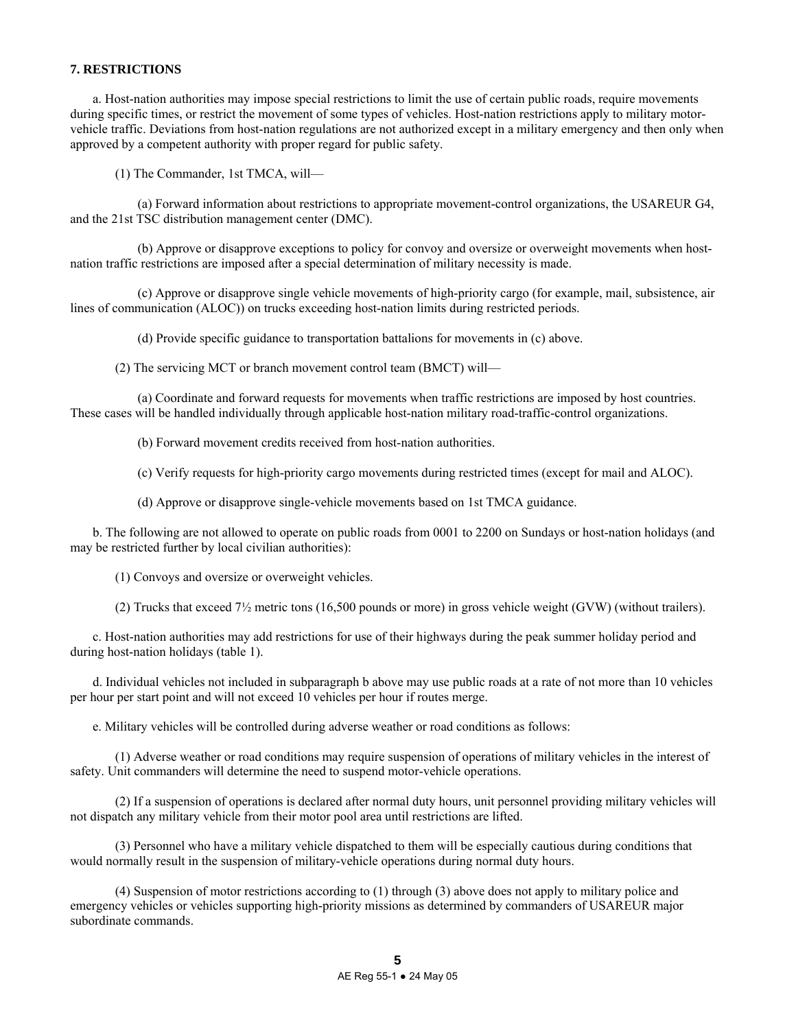### **7. RESTRICTIONS**

 a. Host-nation authorities may impose special restrictions to limit the use of certain public roads, require movements during specific times, or restrict the movement of some types of vehicles. Host-nation restrictions apply to military motorvehicle traffic. Deviations from host-nation regulations are not authorized except in a military emergency and then only when approved by a competent authority with proper regard for public safety.

(1) The Commander, 1st TMCA, will—

 (a) Forward information about restrictions to appropriate movement-control organizations, the USAREUR G4, and the 21st TSC distribution management center (DMC).

 (b) Approve or disapprove exceptions to policy for convoy and oversize or overweight movements when hostnation traffic restrictions are imposed after a special determination of military necessity is made.

 (c) Approve or disapprove single vehicle movements of high-priority cargo (for example, mail, subsistence, air lines of communication (ALOC)) on trucks exceeding host-nation limits during restricted periods.

(d) Provide specific guidance to transportation battalions for movements in (c) above.

(2) The servicing MCT or branch movement control team (BMCT) will—

 (a) Coordinate and forward requests for movements when traffic restrictions are imposed by host countries. These cases will be handled individually through applicable host-nation military road-traffic-control organizations.

(b) Forward movement credits received from host-nation authorities.

(c) Verify requests for high-priority cargo movements during restricted times (except for mail and ALOC).

(d) Approve or disapprove single-vehicle movements based on 1st TMCA guidance.

 b. The following are not allowed to operate on public roads from 0001 to 2200 on Sundays or host-nation holidays (and may be restricted further by local civilian authorities):

(1) Convoys and oversize or overweight vehicles.

(2) Trucks that exceed 7½ metric tons (16,500 pounds or more) in gross vehicle weight (GVW) (without trailers).

 c. Host-nation authorities may add restrictions for use of their highways during the peak summer holiday period and during host-nation holidays (table 1).

d. Individual vehicles not included in subparagraph b above may use public roads at a rate of not more than 10 vehicles per hour per start point and will not exceed 10 vehicles per hour if routes merge.

e. Military vehicles will be controlled during adverse weather or road conditions as follows:

 (1) Adverse weather or road conditions may require suspension of operations of military vehicles in the interest of safety. Unit commanders will determine the need to suspend motor-vehicle operations.

 (2) If a suspension of operations is declared after normal duty hours, unit personnel providing military vehicles will not dispatch any military vehicle from their motor pool area until restrictions are lifted.

 (3) Personnel who have a military vehicle dispatched to them will be especially cautious during conditions that would normally result in the suspension of military-vehicle operations during normal duty hours.

 (4) Suspension of motor restrictions according to (1) through (3) above does not apply to military police and emergency vehicles or vehicles supporting high-priority missions as determined by commanders of USAREUR major subordinate commands.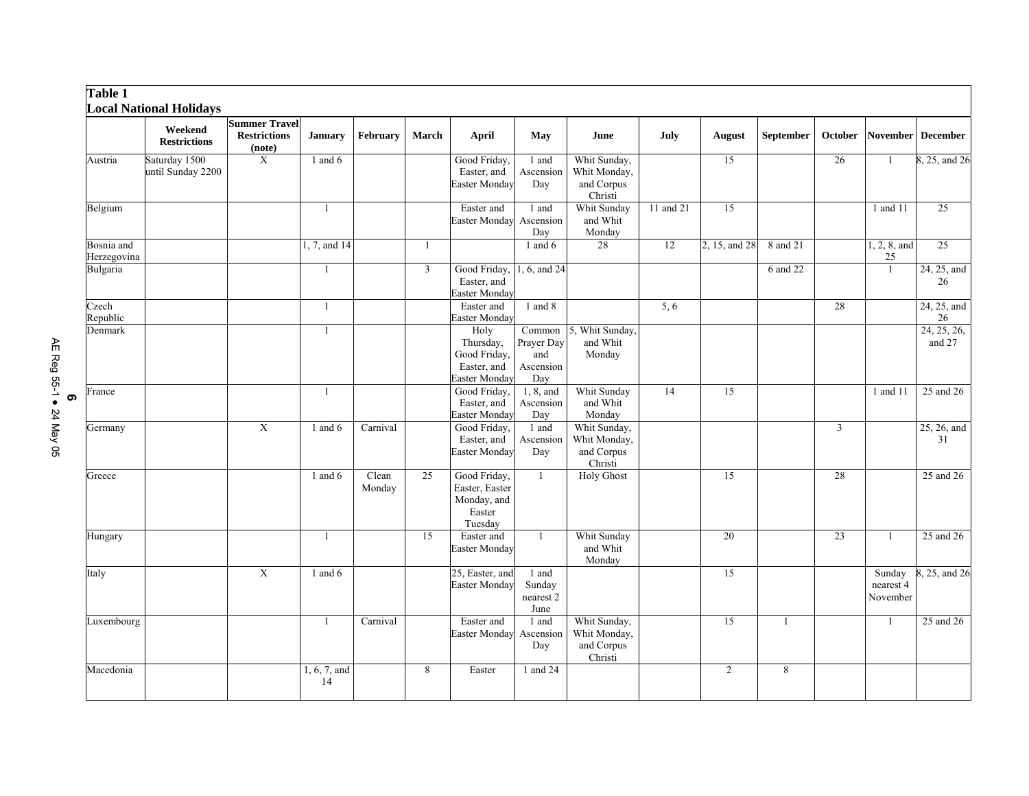| <b>Table 1</b>            | <b>Local National Holidays</b>     |                                                       |                    |                 |                         |                                                                    |                                                 |                                                       |           |                |           |         |                                 |                       |
|---------------------------|------------------------------------|-------------------------------------------------------|--------------------|-----------------|-------------------------|--------------------------------------------------------------------|-------------------------------------------------|-------------------------------------------------------|-----------|----------------|-----------|---------|---------------------------------|-----------------------|
|                           | Weekend<br><b>Restrictions</b>     | <b>Summer Travel</b><br><b>Restrictions</b><br>(note) | <b>January</b>     | February        | March                   | April                                                              | May                                             | June                                                  | July      | August         | September | October |                                 | November December     |
| Austria                   | Saturday 1500<br>until Sunday 2200 | $\overline{X}$                                        | 1 and 6            |                 |                         | Good Friday,<br>Easter, and<br>Easter Monday                       | 1 and<br>Ascension<br>Day                       | Whit Sunday,<br>Whit Monday,<br>and Corpus<br>Christi |           | 15             |           | 26      | $\mathbf{1}$                    | 8, 25, and 26         |
| Belgium                   |                                    |                                                       | $\mathbf{1}$       |                 |                         | Easter and<br>Easter Monday                                        | 1 and<br>Ascension<br>Day                       | Whit Sunday<br>and Whit<br>Monday                     | 11 and 21 | 15             |           |         | 1 and 11                        | 25                    |
| Bosnia and<br>Herzegovina |                                    |                                                       | 1, 7, and 14       |                 | $\mathbf{1}$            |                                                                    | 1 and $6$                                       | 28                                                    | 12        | 2, 15, and 28  | 8 and 21  |         | 1, 2, 8, and<br>25              | 25                    |
| Bulgaria                  |                                    |                                                       | 1                  |                 | $\overline{\mathbf{3}}$ | Good Friday,<br>Easter, and<br>Easter Monday                       | 1, 6, and 24                                    |                                                       |           |                | 6 and 22  |         | $\mathbf{1}$                    | 24, 25, and<br>26     |
| Czech<br>Republic         |                                    |                                                       | 1                  |                 |                         | Easter and<br>Easter Monday                                        | 1 and 8                                         |                                                       | 5, 6      |                |           | 28      |                                 | 24, 25, and<br>26     |
| Denmark                   |                                    |                                                       | 1                  |                 |                         | Holy<br>Thursday,<br>Good Friday,<br>Easter, and<br>Easter Monday  | Common<br>Prayer Day<br>and<br>Ascension<br>Day | 5, Whit Sunday,<br>and Whit<br>Monday                 |           |                |           |         |                                 | 24, 25, 26,<br>and 27 |
| France                    |                                    |                                                       | $\mathbf{1}$       |                 |                         | Good Friday,<br>Easter, and<br>Easter Monday                       | 1, 8, and<br>Ascension<br>Day                   | Whit Sunday<br>and Whit<br>Monday                     | 14        | 15             |           |         | 1 and 11                        | 25 and 26             |
| Germany                   |                                    | $\overline{X}$                                        | 1 and 6            | Carnival        |                         | Good Friday,<br>Easter, and<br>Easter Monday                       | 1 and<br>Ascension<br>Day                       | Whit Sunday,<br>Whit Monday,<br>and Corpus<br>Christi |           |                |           | 3       |                                 | 25, 26, and<br>31     |
| Greece                    |                                    |                                                       | 1 and $6$          | Clean<br>Monday | 25                      | Good Friday,<br>Easter, Easter<br>Monday, and<br>Easter<br>Tuesday | $\mathbf{1}$                                    | <b>Holy Ghost</b>                                     |           | 15             |           | 28      |                                 | 25 and 26             |
| Hungary                   |                                    |                                                       | 1                  |                 | 15                      | Easter and<br>Easter Monday                                        | $\overline{1}$                                  | Whit Sunday<br>and Whit<br>Monday                     |           | 20             |           | 23      | $\mathbf{1}$                    | 25 and 26             |
| Italy                     |                                    | $\mathbf X$                                           | 1 and $6$          |                 |                         | 25, Easter, and<br><b>Easter Monday</b>                            | 1 and<br>Sunday<br>nearest 2<br>June            |                                                       |           | 15             |           |         | Sunday<br>nearest 4<br>November | , 25, and 26          |
| Luxembourg                |                                    |                                                       | $\mathbf{1}$       | Carnival        |                         | Easter and<br>Easter Monday                                        | 1 and<br>Ascension<br>Day                       | Whit Sunday,<br>Whit Monday,<br>and Corpus<br>Christi |           | 15             | -1        |         | 1                               | 25 and 26             |
| Macedonia                 |                                    |                                                       | 1, 6, 7, and<br>14 |                 | 8                       | Easter                                                             | 1 and 24                                        |                                                       |           | $\overline{2}$ | 8         |         |                                 |                       |

**6**<br>AE Reg 55-1 ● 24 May 05 AE Reg 55-1 ● 24 May 05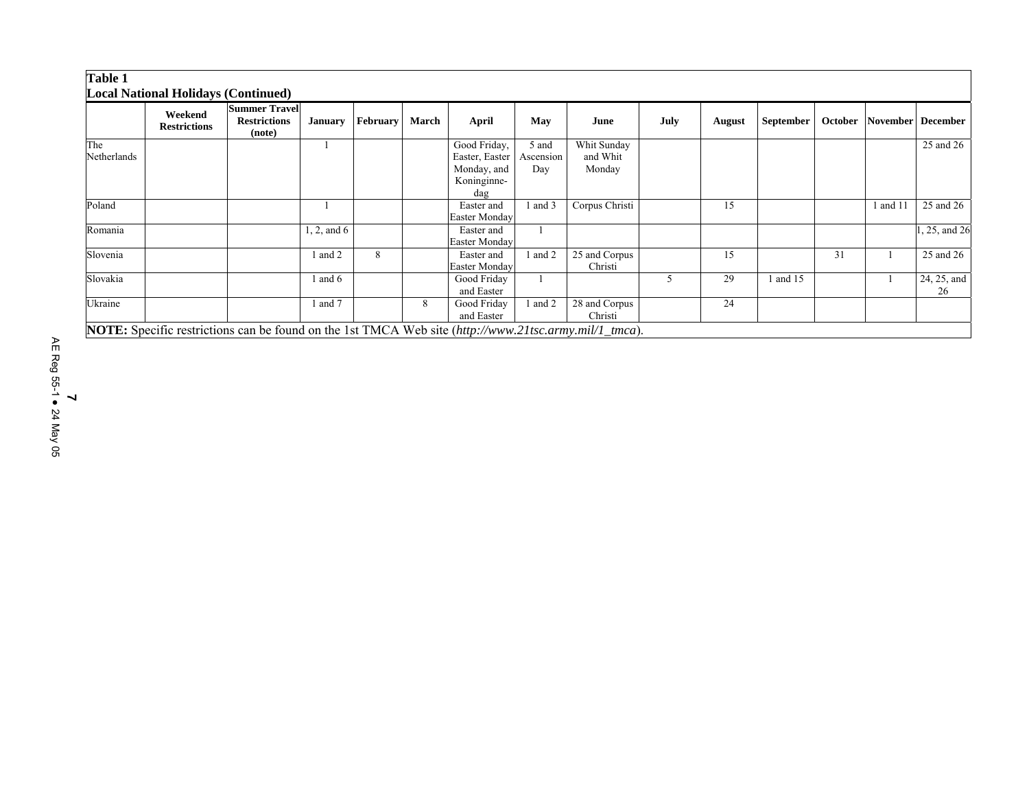# **Table 1**

|                    | <b>Local National Holidays (Continued)</b> |                                                                                                       |                |                 |       |                                                                     |                           |                                   |      |               |           |    |        |                           |
|--------------------|--------------------------------------------|-------------------------------------------------------------------------------------------------------|----------------|-----------------|-------|---------------------------------------------------------------------|---------------------------|-----------------------------------|------|---------------|-----------|----|--------|---------------------------|
|                    | Weekend<br><b>Restrictions</b>             | <b>Summer Travel</b><br><b>Restrictions</b><br>(note)                                                 | <b>January</b> | <b>February</b> | March | April                                                               | May                       | June                              | July | <b>August</b> | September |    |        | October November December |
| The<br>Netherlands |                                            |                                                                                                       |                |                 |       | Good Friday,<br>Easter, Easter<br>Monday, and<br>Koninginne-<br>dag | 5 and<br>Ascension<br>Day | Whit Sunday<br>and Whit<br>Monday |      |               |           |    |        | 25 and 26                 |
| Poland             |                                            |                                                                                                       |                |                 |       | Easter and<br><b>Easter Monday</b>                                  | l and 3                   | Corpus Christi                    |      | 15            |           |    | and 11 | 25 and 26                 |
| Romania            |                                            |                                                                                                       | 1, 2, and 6    |                 |       | Easter and<br>Easter Monday                                         |                           |                                   |      |               |           |    |        | 1, 25, and 26             |
| Slovenia           |                                            |                                                                                                       | 1 and 2        | 8               |       | Easter and<br><b>Easter Monday</b>                                  | and 2                     | 25 and Corpus<br>Christi          |      | 15            |           | 31 |        | 25 and 26                 |
| Slovakia           |                                            |                                                                                                       | l and 6        |                 |       | Good Friday<br>and Easter                                           |                           |                                   | 5    | 29            | 1 and 15  |    |        | 24, 25, and<br>26         |
| Ukraine            |                                            |                                                                                                       | l and 7        |                 | 8     | Good Friday<br>and Easter                                           | and 2                     | 28 and Corpus<br>Christi          |      | 24            |           |    |        |                           |
|                    |                                            | NOTE: Specific restrictions can be found on the 1st TMCA Web site (http://www.21tsc.army.mil/1_tmca). |                |                 |       |                                                                     |                           |                                   |      |               |           |    |        |                           |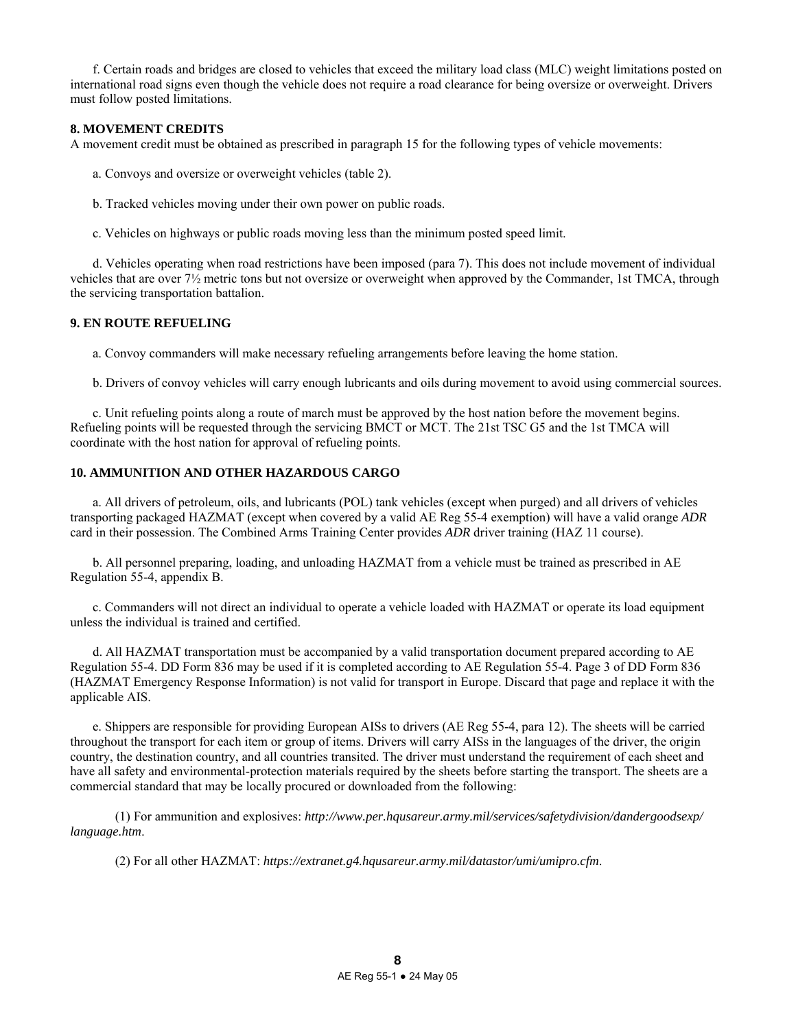f. Certain roads and bridges are closed to vehicles that exceed the military load class (MLC) weight limitations posted on international road signs even though the vehicle does not require a road clearance for being oversize or overweight. Drivers must follow posted limitations.

# **8. MOVEMENT CREDITS**

A movement credit must be obtained as prescribed in paragraph 15 for the following types of vehicle movements:

- a. Convoys and oversize or overweight vehicles (table 2).
- b. Tracked vehicles moving under their own power on public roads.
- c. Vehicles on highways or public roads moving less than the minimum posted speed limit.

 d. Vehicles operating when road restrictions have been imposed (para 7). This does not include movement of individual vehicles that are over 7½ metric tons but not oversize or overweight when approved by the Commander, 1st TMCA, through the servicing transportation battalion.

### **9. EN ROUTE REFUELING**

a. Convoy commanders will make necessary refueling arrangements before leaving the home station.

b. Drivers of convoy vehicles will carry enough lubricants and oils during movement to avoid using commercial sources.

 c. Unit refueling points along a route of march must be approved by the host nation before the movement begins. Refueling points will be requested through the servicing BMCT or MCT. The 21st TSC G5 and the 1st TMCA will coordinate with the host nation for approval of refueling points.

# **10. AMMUNITION AND OTHER HAZARDOUS CARGO**

 a. All drivers of petroleum, oils, and lubricants (POL) tank vehicles (except when purged) and all drivers of vehicles transporting packaged HAZMAT (except when covered by a valid AE Reg 55-4 exemption) will have a valid orange *ADR*  card in their possession. The Combined Arms Training Center provides *ADR* driver training (HAZ 11 course).

 b. All personnel preparing, loading, and unloading HAZMAT from a vehicle must be trained as prescribed in AE Regulation 55-4, appendix B.

 c. Commanders will not direct an individual to operate a vehicle loaded with HAZMAT or operate its load equipment unless the individual is trained and certified.

 d. All HAZMAT transportation must be accompanied by a valid transportation document prepared according to AE Regulation 55-4. DD Form 836 may be used if it is completed according to AE Regulation 55-4. Page 3 of DD Form 836 (HAZMAT Emergency Response Information) is not valid for transport in Europe. Discard that page and replace it with the applicable AIS.

 e. Shippers are responsible for providing European AISs to drivers (AE Reg 55-4, para 12). The sheets will be carried throughout the transport for each item or group of items. Drivers will carry AISs in the languages of the driver, the origin country, the destination country, and all countries transited. The driver must understand the requirement of each sheet and have all safety and environmental-protection materials required by the sheets before starting the transport. The sheets are a commercial standard that may be locally procured or downloaded from the following:

 (1) For ammunition and explosives: *http://www.per.hqusareur.army.mil/services/safetydivision/dandergoodsexp/ language.htm*.

(2) For all other HAZMAT: *https://extranet.g4.hqusareur.army.mil/datastor/umi/umipro.cfm*.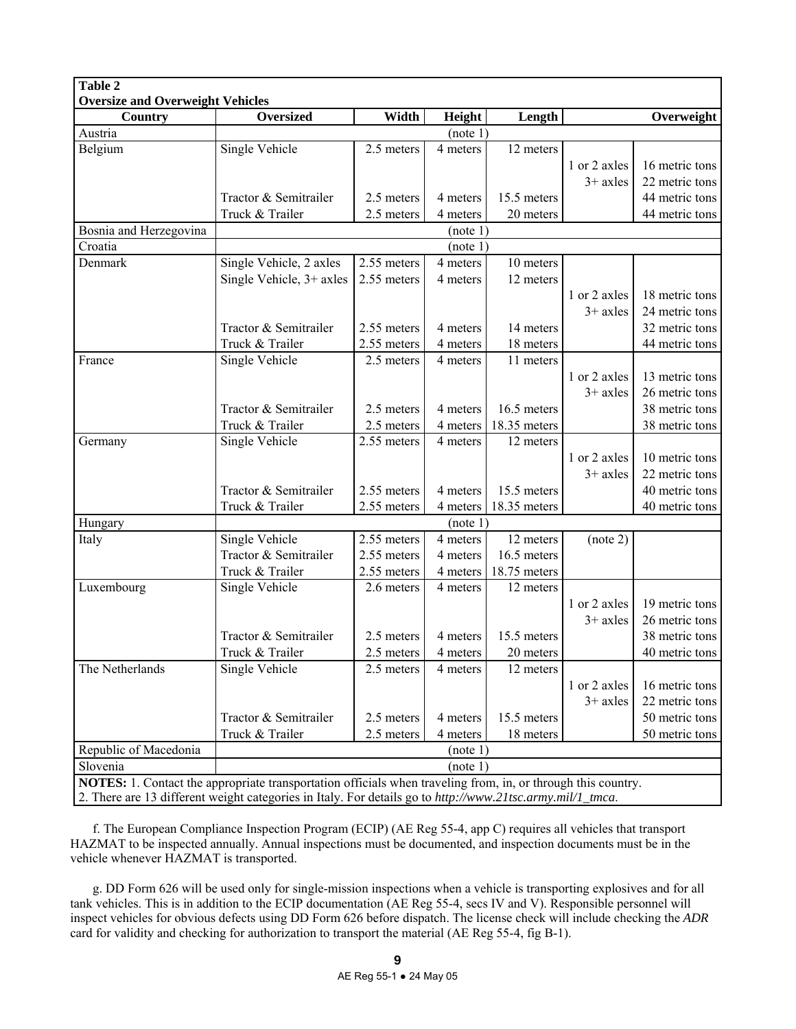| Table 2<br><b>Oversize and Overweight Vehicles</b> |                                                                                                                                                                                                                               |             |          |              |              |                |
|----------------------------------------------------|-------------------------------------------------------------------------------------------------------------------------------------------------------------------------------------------------------------------------------|-------------|----------|--------------|--------------|----------------|
| Country                                            | <b>Oversized</b>                                                                                                                                                                                                              | Width       | Height   | Length       |              | Overweight     |
| Austria                                            |                                                                                                                                                                                                                               |             | (note 1) |              |              |                |
| Belgium                                            | <b>Single Vehicle</b>                                                                                                                                                                                                         | 2.5 meters  | 4 meters | 12 meters    |              |                |
|                                                    |                                                                                                                                                                                                                               |             |          |              | 1 or 2 axles | 16 metric tons |
|                                                    |                                                                                                                                                                                                                               |             |          |              | $3+$ axles   | 22 metric tons |
|                                                    | Tractor & Semitrailer                                                                                                                                                                                                         | 2.5 meters  | 4 meters | 15.5 meters  |              | 44 metric tons |
|                                                    | Truck & Trailer                                                                                                                                                                                                               | 2.5 meters  | 4 meters | 20 meters    |              | 44 metric tons |
| Bosnia and Herzegovina                             |                                                                                                                                                                                                                               |             | (note 1) |              |              |                |
| Croatia                                            |                                                                                                                                                                                                                               |             | (note 1) |              |              |                |
| Denmark                                            | Single Vehicle, 2 axles                                                                                                                                                                                                       | 2.55 meters | 4 meters | 10 meters    |              |                |
|                                                    | Single Vehicle, 3+ axles                                                                                                                                                                                                      | 2.55 meters | 4 meters | 12 meters    |              |                |
|                                                    |                                                                                                                                                                                                                               |             |          |              | 1 or 2 axles | 18 metric tons |
|                                                    |                                                                                                                                                                                                                               |             |          |              | $3+$ axles   | 24 metric tons |
|                                                    | Tractor & Semitrailer                                                                                                                                                                                                         | 2.55 meters | 4 meters | 14 meters    |              | 32 metric tons |
|                                                    | Truck & Trailer                                                                                                                                                                                                               | 2.55 meters | 4 meters | 18 meters    |              | 44 metric tons |
| France                                             | Single Vehicle                                                                                                                                                                                                                | 2.5 meters  | 4 meters | 11 meters    |              |                |
|                                                    |                                                                                                                                                                                                                               |             |          |              | 1 or 2 axles | 13 metric tons |
|                                                    |                                                                                                                                                                                                                               |             |          |              | $3+$ axles   | 26 metric tons |
|                                                    | Tractor & Semitrailer                                                                                                                                                                                                         | 2.5 meters  | 4 meters | 16.5 meters  |              | 38 metric tons |
|                                                    | Truck & Trailer                                                                                                                                                                                                               | 2.5 meters  | 4 meters | 18.35 meters |              | 38 metric tons |
| Germany                                            | Single Vehicle                                                                                                                                                                                                                | 2.55 meters | 4 meters | 12 meters    |              |                |
|                                                    |                                                                                                                                                                                                                               |             |          |              | 1 or 2 axles | 10 metric tons |
|                                                    |                                                                                                                                                                                                                               |             |          |              | $3+$ axles   | 22 metric tons |
|                                                    | Tractor & Semitrailer                                                                                                                                                                                                         | 2.55 meters | 4 meters | 15.5 meters  |              | 40 metric tons |
|                                                    | Truck & Trailer                                                                                                                                                                                                               | 2.55 meters | 4 meters | 18.35 meters |              | 40 metric tons |
| Hungary                                            |                                                                                                                                                                                                                               |             | (note 1) |              |              |                |
| Italy                                              | Single Vehicle                                                                                                                                                                                                                | 2.55 meters | 4 meters | 12 meters    | (note 2)     |                |
|                                                    | Tractor & Semitrailer                                                                                                                                                                                                         | 2.55 meters | 4 meters | 16.5 meters  |              |                |
|                                                    | Truck & Trailer                                                                                                                                                                                                               | 2.55 meters | 4 meters | 18.75 meters |              |                |
| Luxembourg                                         | Single Vehicle                                                                                                                                                                                                                | 2.6 meters  | 4 meters | 12 meters    |              |                |
|                                                    |                                                                                                                                                                                                                               |             |          |              | 1 or 2 axles | 19 metric tons |
|                                                    |                                                                                                                                                                                                                               |             |          |              | $3+$ axles   | 26 metric tons |
|                                                    | Tractor & Semitrailer                                                                                                                                                                                                         | 2.5 meters  | 4 meters | 15.5 meters  |              | 38 metric tons |
|                                                    | Truck & Trailer                                                                                                                                                                                                               | 2.5 meters  | 4 meters | 20 meters    |              | 40 metric tons |
| The Netherlands                                    | Single Vehicle                                                                                                                                                                                                                | 2.5 meters  | 4 meters | 12 meters    |              |                |
|                                                    |                                                                                                                                                                                                                               |             |          |              | 1 or 2 axles | 16 metric tons |
|                                                    |                                                                                                                                                                                                                               |             |          |              | $3+$ axles   | 22 metric tons |
|                                                    | Tractor & Semitrailer                                                                                                                                                                                                         | 2.5 meters  | 4 meters | 15.5 meters  |              | 50 metric tons |
|                                                    | Truck & Trailer                                                                                                                                                                                                               | 2.5 meters  | 4 meters | 18 meters    |              | 50 metric tons |
| Republic of Macedonia                              |                                                                                                                                                                                                                               |             | (note 1) |              |              |                |
| Slovenia                                           |                                                                                                                                                                                                                               |             | (note 1) |              |              |                |
|                                                    | <b>NOTES:</b> 1. Contact the appropriate transportation officials when traveling from, in, or through this country.<br>2. There are 12 different weight estegaries in Italy For details go to http://www.21tse.communi/1, two |             |          |              |              |                |

2. There are 13 different weight categories in Italy. For details go to *http://www.21tsc.army.mil/1\_tmca*.

 f. The European Compliance Inspection Program (ECIP) (AE Reg 55-4, app C) requires all vehicles that transport HAZMAT to be inspected annually. Annual inspections must be documented, and inspection documents must be in the vehicle whenever HAZMAT is transported.

 g. DD Form 626 will be used only for single-mission inspections when a vehicle is transporting explosives and for all tank vehicles. This is in addition to the ECIP documentation (AE Reg 55-4, secs IV and V). Responsible personnel will inspect vehicles for obvious defects using DD Form 626 before dispatch. The license check will include checking the *ADR*  card for validity and checking for authorization to transport the material (AE Reg 55-4, fig B-1).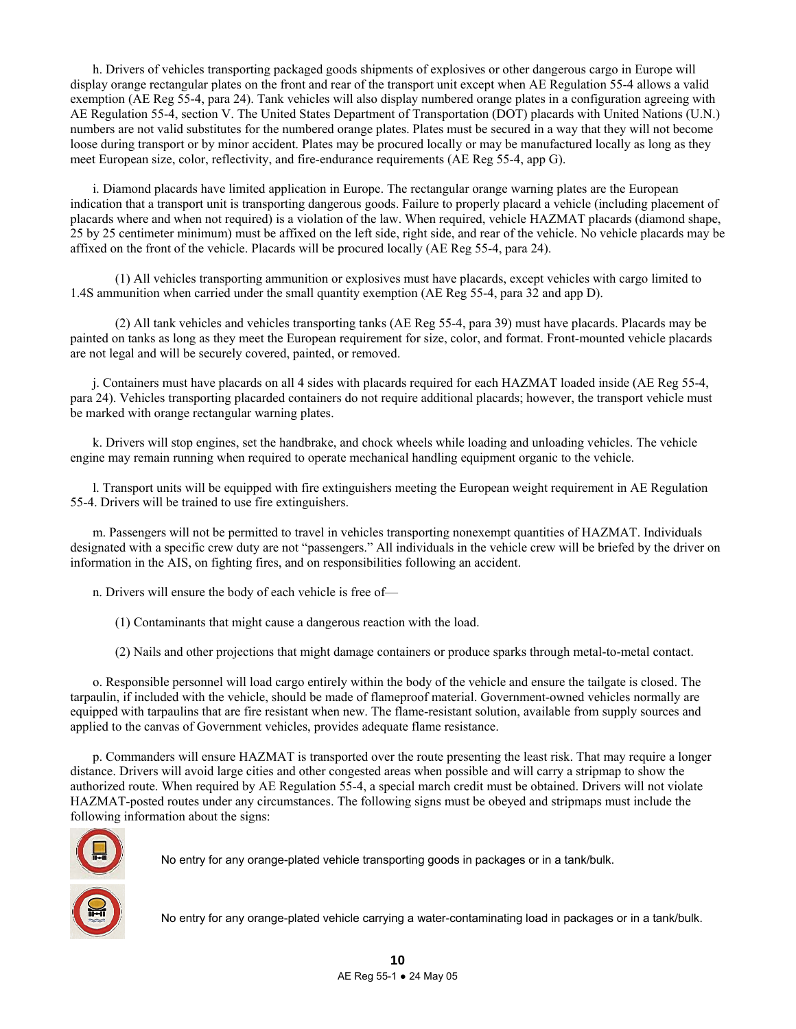h. Drivers of vehicles transporting packaged goods shipments of explosives or other dangerous cargo in Europe will display orange rectangular plates on the front and rear of the transport unit except when AE Regulation 55-4 allows a valid exemption (AE Reg 55-4, para 24). Tank vehicles will also display numbered orange plates in a configuration agreeing with AE Regulation 55-4, section V. The United States Department of Transportation (DOT) placards with United Nations (U.N.) numbers are not valid substitutes for the numbered orange plates. Plates must be secured in a way that they will not become loose during transport or by minor accident. Plates may be procured locally or may be manufactured locally as long as they meet European size, color, reflectivity, and fire-endurance requirements (AE Reg 55-4, app G).

 i. Diamond placards have limited application in Europe. The rectangular orange warning plates are the European indication that a transport unit is transporting dangerous goods. Failure to properly placard a vehicle (including placement of placards where and when not required) is a violation of the law. When required, vehicle HAZMAT placards (diamond shape, 25 by 25 centimeter minimum) must be affixed on the left side, right side, and rear of the vehicle. No vehicle placards may be affixed on the front of the vehicle. Placards will be procured locally (AE Reg 55-4, para 24).

 (1) All vehicles transporting ammunition or explosives must have placards, except vehicles with cargo limited to 1.4S ammunition when carried under the small quantity exemption (AE Reg 55-4, para 32 and app D).

 (2) All tank vehicles and vehicles transporting tanks (AE Reg 55-4, para 39) must have placards. Placards may be painted on tanks as long as they meet the European requirement for size, color, and format. Front-mounted vehicle placards are not legal and will be securely covered, painted, or removed.

 j. Containers must have placards on all 4 sides with placards required for each HAZMAT loaded inside (AE Reg 55-4, para 24). Vehicles transporting placarded containers do not require additional placards; however, the transport vehicle must be marked with orange rectangular warning plates.

 k. Drivers will stop engines, set the handbrake, and chock wheels while loading and unloading vehicles. The vehicle engine may remain running when required to operate mechanical handling equipment organic to the vehicle.

 l. Transport units will be equipped with fire extinguishers meeting the European weight requirement in AE Regulation 55-4. Drivers will be trained to use fire extinguishers.

 m. Passengers will not be permitted to travel in vehicles transporting nonexempt quantities of HAZMAT. Individuals designated with a specific crew duty are not "passengers." All individuals in the vehicle crew will be briefed by the driver on information in the AIS, on fighting fires, and on responsibilities following an accident.

n. Drivers will ensure the body of each vehicle is free of—

(1) Contaminants that might cause a dangerous reaction with the load.

(2) Nails and other projections that might damage containers or produce sparks through metal-to-metal contact.

 o. Responsible personnel will load cargo entirely within the body of the vehicle and ensure the tailgate is closed. The tarpaulin, if included with the vehicle, should be made of flameproof material. Government-owned vehicles normally are equipped with tarpaulins that are fire resistant when new. The flame-resistant solution, available from supply sources and applied to the canvas of Government vehicles, provides adequate flame resistance.

 p. Commanders will ensure HAZMAT is transported over the route presenting the least risk. That may require a longer distance. Drivers will avoid large cities and other congested areas when possible and will carry a stripmap to show the authorized route. When required by AE Regulation 55-4, a special march credit must be obtained. Drivers will not violate HAZMAT-posted routes under any circumstances. The following signs must be obeyed and stripmaps must include the following information about the signs:



No entry for any orange-plated vehicle transporting goods in packages or in a tank/bulk.

No entry for any orange-plated vehicle carrying a water-contaminating load in packages or in a tank/bulk.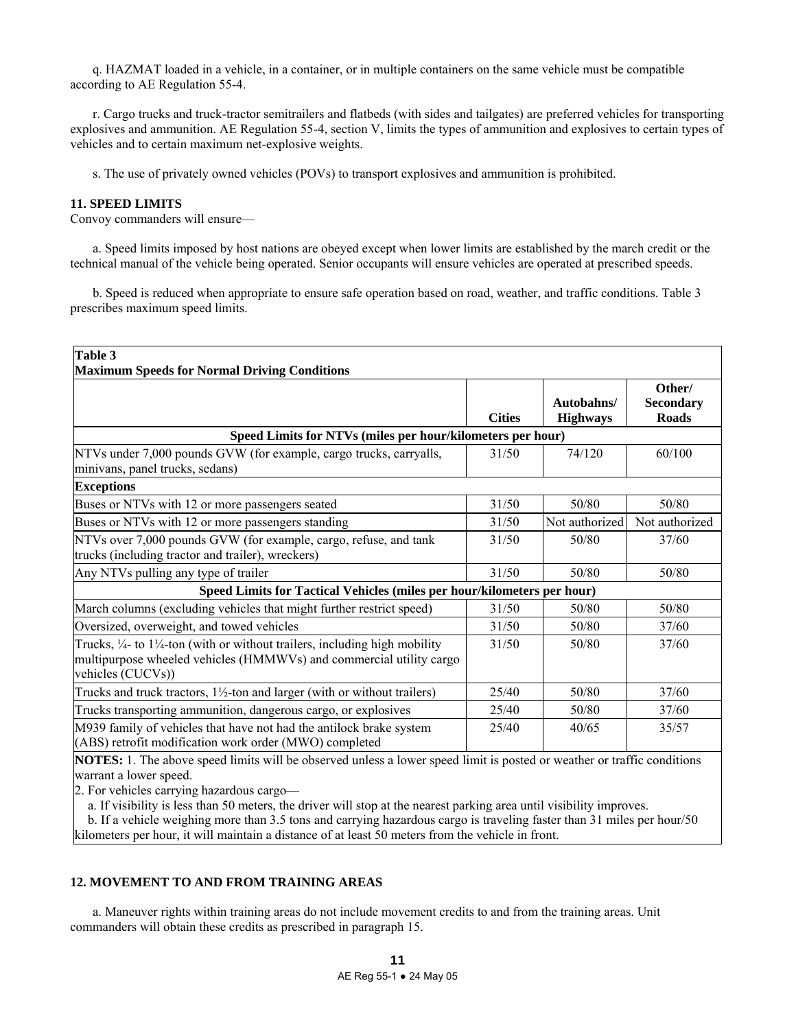q. HAZMAT loaded in a vehicle, in a container, or in multiple containers on the same vehicle must be compatible according to AE Regulation 55-4.

 r. Cargo trucks and truck-tractor semitrailers and flatbeds (with sides and tailgates) are preferred vehicles for transporting explosives and ammunition. AE Regulation 55-4, section V, limits the types of ammunition and explosives to certain types of vehicles and to certain maximum net-explosive weights.

s. The use of privately owned vehicles (POVs) to transport explosives and ammunition is prohibited.

### **11. SPEED LIMITS**

Convoy commanders will ensure—

 a. Speed limits imposed by host nations are obeyed except when lower limits are established by the march credit or the technical manual of the vehicle being operated. Senior occupants will ensure vehicles are operated at prescribed speeds.

 b. Speed is reduced when appropriate to ensure safe operation based on road, weather, and traffic conditions. Table 3 prescribes maximum speed limits.

| Table 3                                                                                                                                                                                       |               |                               |                                            |
|-----------------------------------------------------------------------------------------------------------------------------------------------------------------------------------------------|---------------|-------------------------------|--------------------------------------------|
| <b>Maximum Speeds for Normal Driving Conditions</b>                                                                                                                                           |               |                               |                                            |
|                                                                                                                                                                                               | <b>Cities</b> | Autobahns/<br><b>Highways</b> | Other/<br><b>Secondary</b><br><b>Roads</b> |
| Speed Limits for NTVs (miles per hour/kilometers per hour)                                                                                                                                    |               |                               |                                            |
| NTVs under 7,000 pounds GVW (for example, cargo trucks, carryalls,<br>minivans, panel trucks, sedans)                                                                                         | 31/50         | 74/120                        | 60/100                                     |
| <b>Exceptions</b>                                                                                                                                                                             |               |                               |                                            |
| Buses or NTVs with 12 or more passengers seated                                                                                                                                               | 31/50         | 50/80                         | 50/80                                      |
| Buses or NTVs with 12 or more passengers standing                                                                                                                                             | 31/50         | Not authorized                | Not authorized                             |
| NTVs over 7,000 pounds GVW (for example, cargo, refuse, and tank<br>trucks (including tractor and trailer), wreckers)                                                                         | 31/50         | 50/80                         | 37/60                                      |
| Any NTVs pulling any type of trailer                                                                                                                                                          | 31/50         | 50/80                         | 50/80                                      |
| Speed Limits for Tactical Vehicles (miles per hour/kilometers per hour)                                                                                                                       |               |                               |                                            |
| March columns (excluding vehicles that might further restrict speed)                                                                                                                          | 31/50         | 50/80                         | 50/80                                      |
| Oversized, overweight, and towed vehicles                                                                                                                                                     | 31/50         | 50/80                         | 37/60                                      |
| Trucks, $\frac{1}{4}$ - to $1\frac{1}{4}$ -ton (with or without trailers, including high mobility<br>multipurpose wheeled vehicles (HMMWVs) and commercial utility cargo<br>vehicles (CUCVs)) | 31/50         | 50/80                         | 37/60                                      |
| Trucks and truck tractors, $1\frac{1}{2}$ -ton and larger (with or without trailers)                                                                                                          | 25/40         | 50/80                         | 37/60                                      |
| Trucks transporting ammunition, dangerous cargo, or explosives                                                                                                                                | 25/40         | 50/80                         | 37/60                                      |
| M939 family of vehicles that have not had the antilock brake system<br>(ABS) retrofit modification work order (MWO) completed                                                                 | 25/40         | 40/65                         | 35/57                                      |

**NOTES:** 1. The above speed limits will be observed unless a lower speed limit is posted or weather or traffic conditions warrant a lower speed.

2. For vehicles carrying hazardous cargo—

a. If visibility is less than 50 meters, the driver will stop at the nearest parking area until visibility improves.

 b. If a vehicle weighing more than 3.5 tons and carrying hazardous cargo is traveling faster than 31 miles per hour/50 kilometers per hour, it will maintain a distance of at least 50 meters from the vehicle in front.

### **12. MOVEMENT TO AND FROM TRAINING AREAS**

 a. Maneuver rights within training areas do not include movement credits to and from the training areas. Unit commanders will obtain these credits as prescribed in paragraph 15.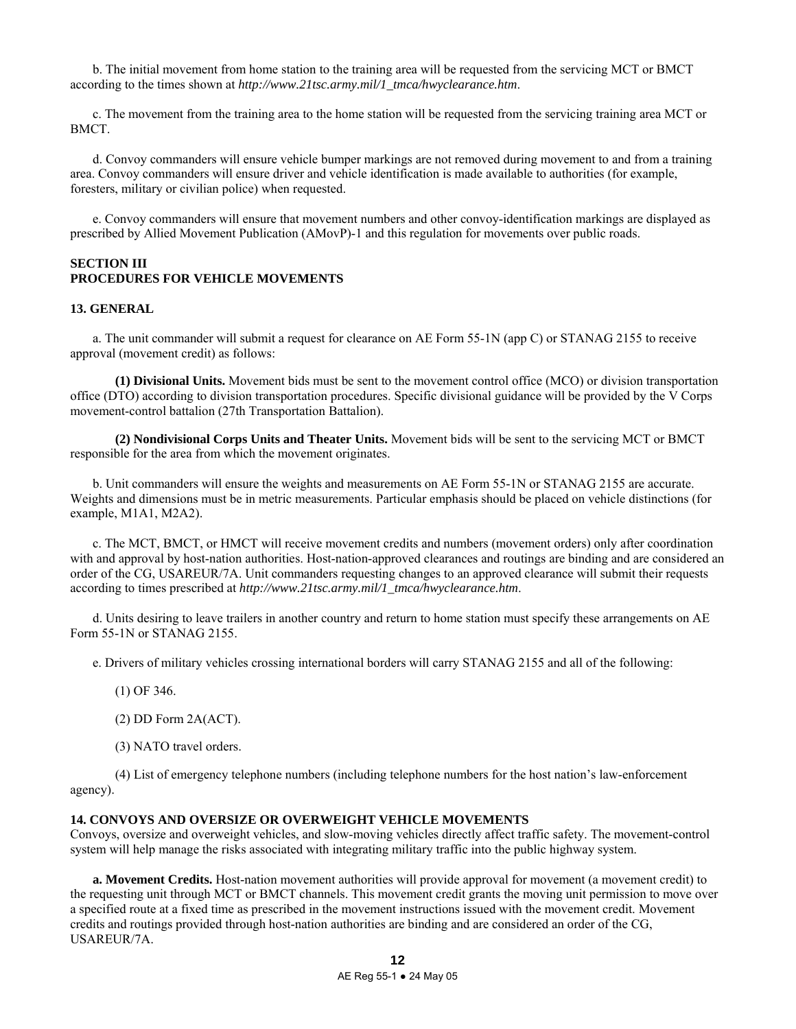b. The initial movement from home station to the training area will be requested from the servicing MCT or BMCT according to the times shown at *http://www.21tsc.army.mil/1\_tmca/hwyclearance.htm*.

 c. The movement from the training area to the home station will be requested from the servicing training area MCT or BMCT.

 d. Convoy commanders will ensure vehicle bumper markings are not removed during movement to and from a training area. Convoy commanders will ensure driver and vehicle identification is made available to authorities (for example, foresters, military or civilian police) when requested.

 e. Convoy commanders will ensure that movement numbers and other convoy-identification markings are displayed as prescribed by Allied Movement Publication (AMovP)-1 and this regulation for movements over public roads.

# **SECTION III PROCEDURES FOR VEHICLE MOVEMENTS**

### **13. GENERAL**

 a. The unit commander will submit a request for clearance on AE Form 55-1N (app C) or STANAG 2155 to receive approval (movement credit) as follows:

 **(1) Divisional Units.** Movement bids must be sent to the movement control office (MCO) or division transportation office (DTO) according to division transportation procedures. Specific divisional guidance will be provided by the V Corps movement-control battalion (27th Transportation Battalion).

 **(2) Nondivisional Corps Units and Theater Units.** Movement bids will be sent to the servicing MCT or BMCT responsible for the area from which the movement originates.

 b. Unit commanders will ensure the weights and measurements on AE Form 55-1N or STANAG 2155 are accurate. Weights and dimensions must be in metric measurements. Particular emphasis should be placed on vehicle distinctions (for example, M1A1, M2A2).

 c. The MCT, BMCT, or HMCT will receive movement credits and numbers (movement orders) only after coordination with and approval by host-nation authorities. Host-nation-approved clearances and routings are binding and are considered an order of the CG, USAREUR/7A. Unit commanders requesting changes to an approved clearance will submit their requests according to times prescribed at *http://www.21tsc.army.mil/1\_tmca/hwyclearance.htm*.

 d. Units desiring to leave trailers in another country and return to home station must specify these arrangements on AE Form 55-1N or STANAG 2155.

e. Drivers of military vehicles crossing international borders will carry STANAG 2155 and all of the following:

- (1) OF 346.
- (2) DD Form 2A(ACT).
- (3) NATO travel orders.

 (4) List of emergency telephone numbers (including telephone numbers for the host nation's law-enforcement agency).

### **14. CONVOYS AND OVERSIZE OR OVERWEIGHT VEHICLE MOVEMENTS**

Convoys, oversize and overweight vehicles, and slow-moving vehicles directly affect traffic safety. The movement-control system will help manage the risks associated with integrating military traffic into the public highway system.

 **a. Movement Credits.** Host-nation movement authorities will provide approval for movement (a movement credit) to the requesting unit through MCT or BMCT channels. This movement credit grants the moving unit permission to move over a specified route at a fixed time as prescribed in the movement instructions issued with the movement credit. Movement credits and routings provided through host-nation authorities are binding and are considered an order of the CG, USAREUR/7A.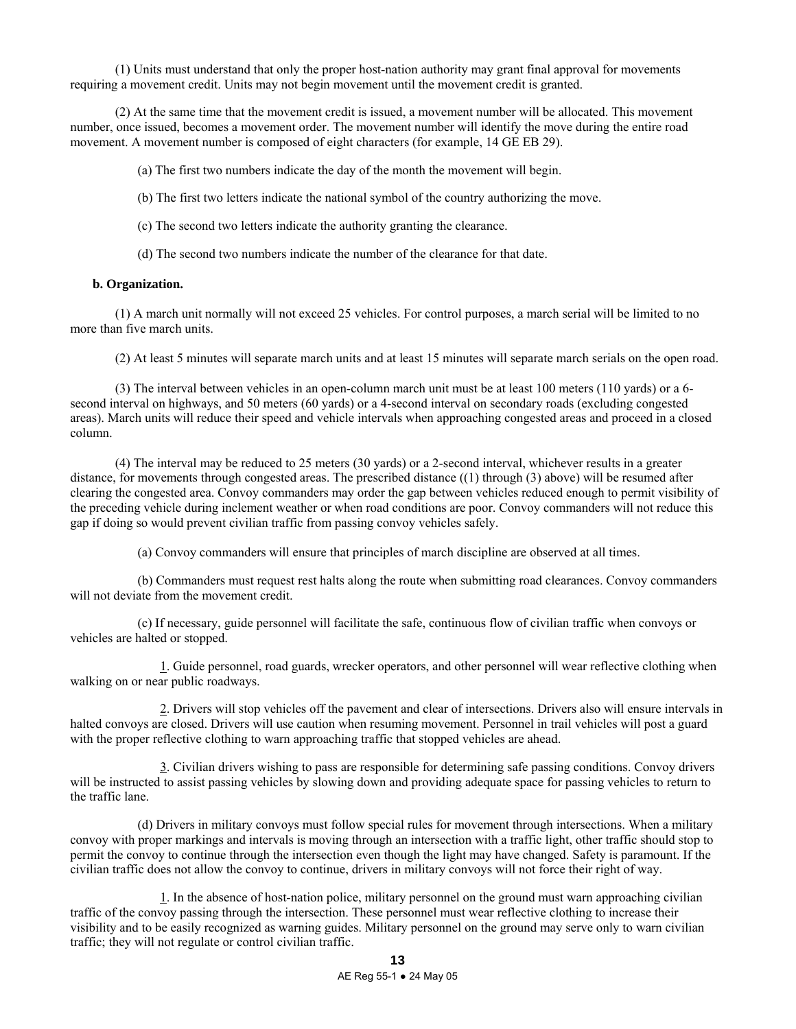(1) Units must understand that only the proper host-nation authority may grant final approval for movements requiring a movement credit. Units may not begin movement until the movement credit is granted.

 (2) At the same time that the movement credit is issued, a movement number will be allocated. This movement number, once issued, becomes a movement order. The movement number will identify the move during the entire road movement. A movement number is composed of eight characters (for example, 14 GE EB 29).

(a) The first two numbers indicate the day of the month the movement will begin.

(b) The first two letters indicate the national symbol of the country authorizing the move.

(c) The second two letters indicate the authority granting the clearance.

(d) The second two numbers indicate the number of the clearance for that date.

### **b. Organization.**

 (1) A march unit normally will not exceed 25 vehicles. For control purposes, a march serial will be limited to no more than five march units.

(2) At least 5 minutes will separate march units and at least 15 minutes will separate march serials on the open road.

 (3) The interval between vehicles in an open-column march unit must be at least 100 meters (110 yards) or a 6 second interval on highways, and 50 meters (60 yards) or a 4-second interval on secondary roads (excluding congested areas). March units will reduce their speed and vehicle intervals when approaching congested areas and proceed in a closed column.

 (4) The interval may be reduced to 25 meters (30 yards) or a 2-second interval, whichever results in a greater distance, for movements through congested areas. The prescribed distance ((1) through (3) above) will be resumed after clearing the congested area. Convoy commanders may order the gap between vehicles reduced enough to permit visibility of the preceding vehicle during inclement weather or when road conditions are poor. Convoy commanders will not reduce this gap if doing so would prevent civilian traffic from passing convoy vehicles safely.

(a) Convoy commanders will ensure that principles of march discipline are observed at all times.

 (b) Commanders must request rest halts along the route when submitting road clearances. Convoy commanders will not deviate from the movement credit.

 (c) If necessary, guide personnel will facilitate the safe, continuous flow of civilian traffic when convoys or vehicles are halted or stopped.

 1. Guide personnel, road guards, wrecker operators, and other personnel will wear reflective clothing when walking on or near public roadways.

 2. Drivers will stop vehicles off the pavement and clear of intersections. Drivers also will ensure intervals in halted convoys are closed. Drivers will use caution when resuming movement. Personnel in trail vehicles will post a guard with the proper reflective clothing to warn approaching traffic that stopped vehicles are ahead.

 3. Civilian drivers wishing to pass are responsible for determining safe passing conditions. Convoy drivers will be instructed to assist passing vehicles by slowing down and providing adequate space for passing vehicles to return to the traffic lane.

 (d) Drivers in military convoys must follow special rules for movement through intersections. When a military convoy with proper markings and intervals is moving through an intersection with a traffic light, other traffic should stop to permit the convoy to continue through the intersection even though the light may have changed. Safety is paramount. If the civilian traffic does not allow the convoy to continue, drivers in military convoys will not force their right of way.

 1. In the absence of host-nation police, military personnel on the ground must warn approaching civilian traffic of the convoy passing through the intersection. These personnel must wear reflective clothing to increase their visibility and to be easily recognized as warning guides. Military personnel on the ground may serve only to warn civilian traffic; they will not regulate or control civilian traffic.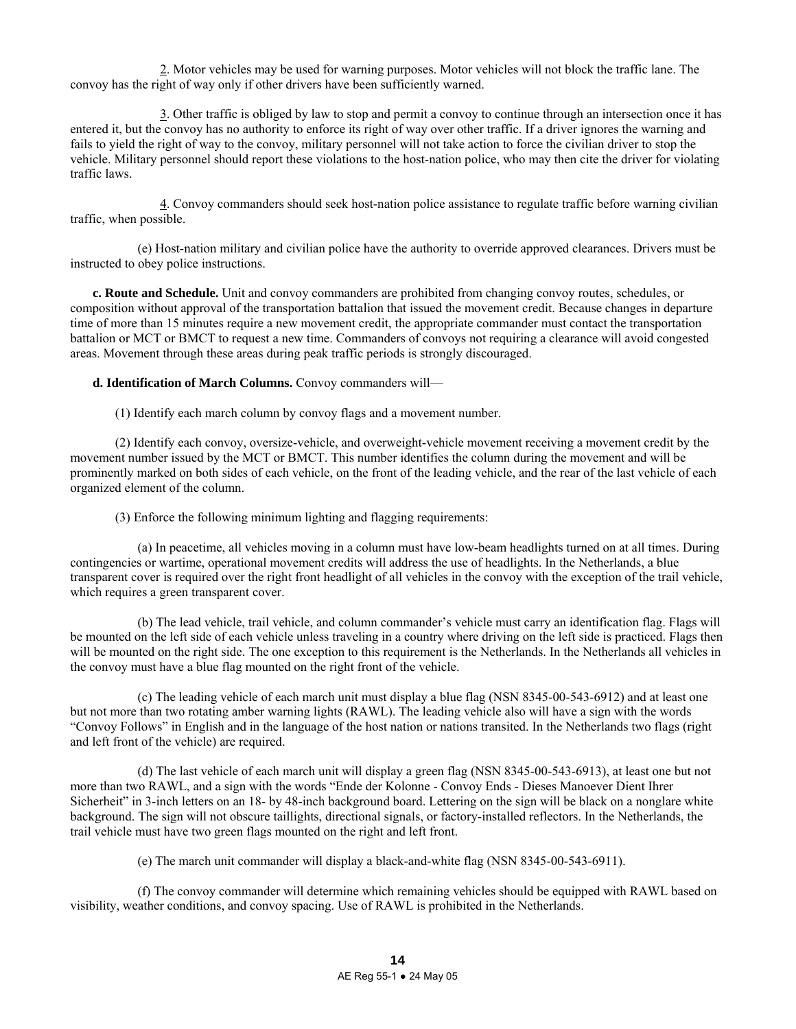2. Motor vehicles may be used for warning purposes. Motor vehicles will not block the traffic lane. The convoy has the right of way only if other drivers have been sufficiently warned.

 3. Other traffic is obliged by law to stop and permit a convoy to continue through an intersection once it has entered it, but the convoy has no authority to enforce its right of way over other traffic. If a driver ignores the warning and fails to yield the right of way to the convoy, military personnel will not take action to force the civilian driver to stop the vehicle. Military personnel should report these violations to the host-nation police, who may then cite the driver for violating traffic laws.

 4. Convoy commanders should seek host-nation police assistance to regulate traffic before warning civilian traffic, when possible.

 (e) Host-nation military and civilian police have the authority to override approved clearances. Drivers must be instructed to obey police instructions.

**c. Route and Schedule.** Unit and convoy commanders are prohibited from changing convoy routes, schedules, or composition without approval of the transportation battalion that issued the movement credit. Because changes in departure time of more than 15 minutes require a new movement credit, the appropriate commander must contact the transportation battalion or MCT or BMCT to request a new time. Commanders of convoys not requiring a clearance will avoid congested areas. Movement through these areas during peak traffic periods is strongly discouraged.

**d. Identification of March Columns.** Convoy commanders will—

(1) Identify each march column by convoy flags and a movement number.

 (2) Identify each convoy, oversize-vehicle, and overweight-vehicle movement receiving a movement credit by the movement number issued by the MCT or BMCT. This number identifies the column during the movement and will be prominently marked on both sides of each vehicle, on the front of the leading vehicle, and the rear of the last vehicle of each organized element of the column.

(3) Enforce the following minimum lighting and flagging requirements:

 (a) In peacetime, all vehicles moving in a column must have low-beam headlights turned on at all times. During contingencies or wartime, operational movement credits will address the use of headlights. In the Netherlands, a blue transparent cover is required over the right front headlight of all vehicles in the convoy with the exception of the trail vehicle, which requires a green transparent cover.

 (b) The lead vehicle, trail vehicle, and column commander's vehicle must carry an identification flag. Flags will be mounted on the left side of each vehicle unless traveling in a country where driving on the left side is practiced. Flags then will be mounted on the right side. The one exception to this requirement is the Netherlands. In the Netherlands all vehicles in the convoy must have a blue flag mounted on the right front of the vehicle.

 (c) The leading vehicle of each march unit must display a blue flag (NSN 8345-00-543-6912) and at least one but not more than two rotating amber warning lights (RAWL). The leading vehicle also will have a sign with the words "Convoy Follows" in English and in the language of the host nation or nations transited. In the Netherlands two flags (right and left front of the vehicle) are required.

 (d) The last vehicle of each march unit will display a green flag (NSN 8345-00-543-6913), at least one but not more than two RAWL, and a sign with the words "Ende der Kolonne - Convoy Ends - Dieses Manoever Dient Ihrer Sicherheit" in 3-inch letters on an 18- by 48-inch background board. Lettering on the sign will be black on a nonglare white background. The sign will not obscure taillights, directional signals, or factory-installed reflectors. In the Netherlands, the trail vehicle must have two green flags mounted on the right and left front.

(e) The march unit commander will display a black-and-white flag (NSN 8345-00-543-6911).

 (f) The convoy commander will determine which remaining vehicles should be equipped with RAWL based on visibility, weather conditions, and convoy spacing. Use of RAWL is prohibited in the Netherlands.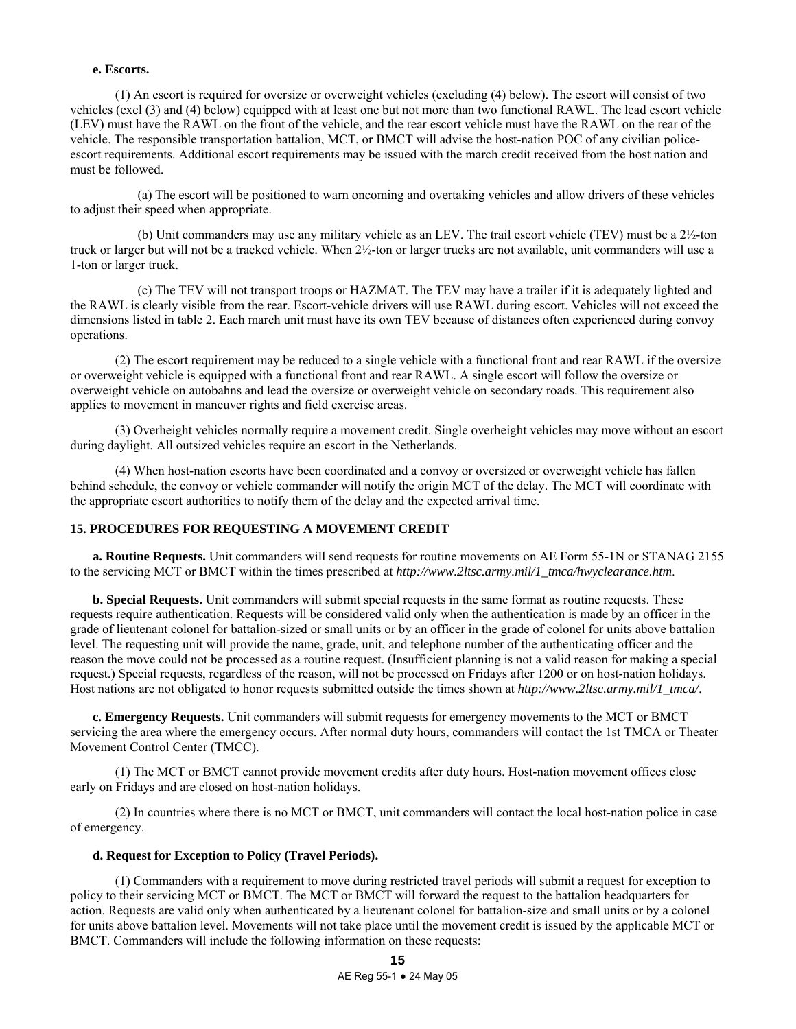### **e. Escorts.**

 (1) An escort is required for oversize or overweight vehicles (excluding (4) below). The escort will consist of two vehicles (excl (3) and (4) below) equipped with at least one but not more than two functional RAWL. The lead escort vehicle (LEV) must have the RAWL on the front of the vehicle, and the rear escort vehicle must have the RAWL on the rear of the vehicle. The responsible transportation battalion, MCT, or BMCT will advise the host-nation POC of any civilian policeescort requirements. Additional escort requirements may be issued with the march credit received from the host nation and must be followed.

 (a) The escort will be positioned to warn oncoming and overtaking vehicles and allow drivers of these vehicles to adjust their speed when appropriate.

 (b) Unit commanders may use any military vehicle as an LEV. The trail escort vehicle (TEV) must be a 2½-ton truck or larger but will not be a tracked vehicle. When 2½-ton or larger trucks are not available, unit commanders will use a 1-ton or larger truck.

 (c) The TEV will not transport troops or HAZMAT. The TEV may have a trailer if it is adequately lighted and the RAWL is clearly visible from the rear. Escort-vehicle drivers will use RAWL during escort. Vehicles will not exceed the dimensions listed in table 2. Each march unit must have its own TEV because of distances often experienced during convoy operations.

 (2) The escort requirement may be reduced to a single vehicle with a functional front and rear RAWL if the oversize or overweight vehicle is equipped with a functional front and rear RAWL. A single escort will follow the oversize or overweight vehicle on autobahns and lead the oversize or overweight vehicle on secondary roads. This requirement also applies to movement in maneuver rights and field exercise areas.

 (3) Overheight vehicles normally require a movement credit. Single overheight vehicles may move without an escort during daylight. All outsized vehicles require an escort in the Netherlands.

 (4) When host-nation escorts have been coordinated and a convoy or oversized or overweight vehicle has fallen behind schedule, the convoy or vehicle commander will notify the origin MCT of the delay. The MCT will coordinate with the appropriate escort authorities to notify them of the delay and the expected arrival time.

# **15. PROCEDURES FOR REQUESTING A MOVEMENT CREDIT**

**a. Routine Requests.** Unit commanders will send requests for routine movements on AE Form 55-1N or STANAG 2155 to the servicing MCT or BMCT within the times prescribed at *http://www.2ltsc.army.mil/1\_tmca/hwyclearance.htm*.

**b. Special Requests.** Unit commanders will submit special requests in the same format as routine requests. These requests require authentication. Requests will be considered valid only when the authentication is made by an officer in the grade of lieutenant colonel for battalion-sized or small units or by an officer in the grade of colonel for units above battalion level. The requesting unit will provide the name, grade, unit, and telephone number of the authenticating officer and the reason the move could not be processed as a routine request. (Insufficient planning is not a valid reason for making a special request.) Special requests, regardless of the reason, will not be processed on Fridays after 1200 or on host-nation holidays. Host nations are not obligated to honor requests submitted outside the times shown at *http://www.2ltsc.army.mil/1\_tmca/*.

**c. Emergency Requests.** Unit commanders will submit requests for emergency movements to the MCT or BMCT servicing the area where the emergency occurs. After normal duty hours, commanders will contact the 1st TMCA or Theater Movement Control Center (TMCC).

 (1) The MCT or BMCT cannot provide movement credits after duty hours. Host-nation movement offices close early on Fridays and are closed on host-nation holidays.

 (2) In countries where there is no MCT or BMCT, unit commanders will contact the local host-nation police in case of emergency.

### **d. Request for Exception to Policy (Travel Periods).**

 (1) Commanders with a requirement to move during restricted travel periods will submit a request for exception to policy to their servicing MCT or BMCT. The MCT or BMCT will forward the request to the battalion headquarters for action. Requests are valid only when authenticated by a lieutenant colonel for battalion-size and small units or by a colonel for units above battalion level. Movements will not take place until the movement credit is issued by the applicable MCT or BMCT. Commanders will include the following information on these requests: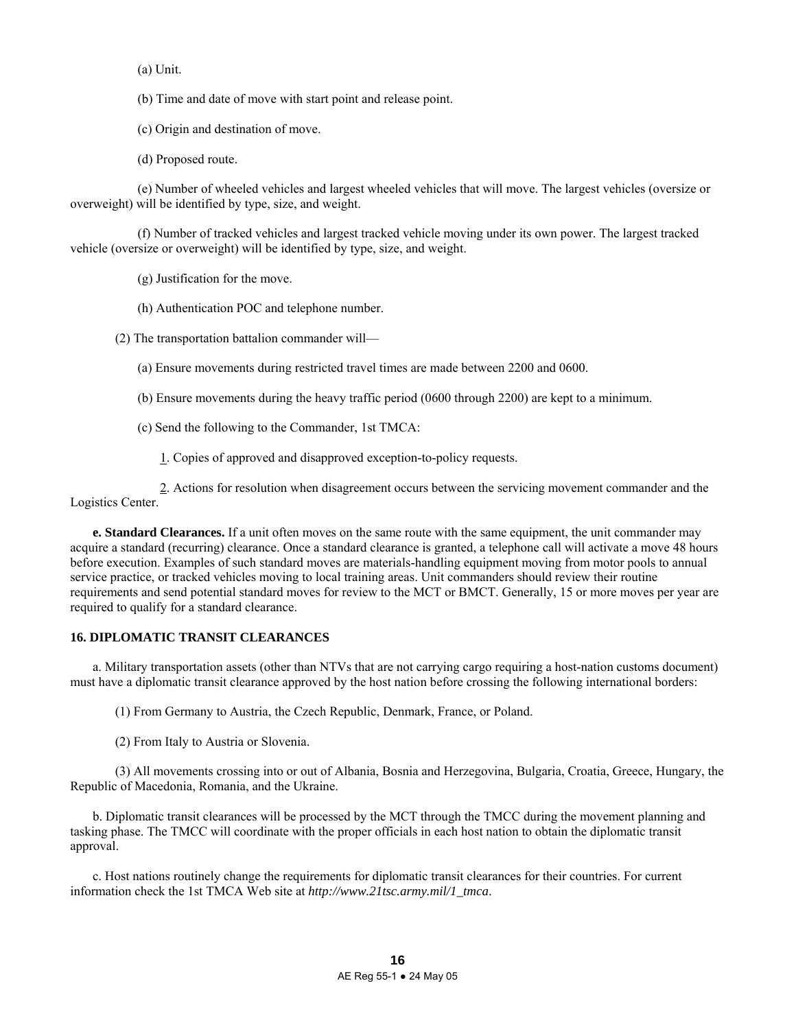(a) Unit.

(b) Time and date of move with start point and release point.

(c) Origin and destination of move.

(d) Proposed route.

 (e) Number of wheeled vehicles and largest wheeled vehicles that will move. The largest vehicles (oversize or overweight) will be identified by type, size, and weight.

 (f) Number of tracked vehicles and largest tracked vehicle moving under its own power. The largest tracked vehicle (oversize or overweight) will be identified by type, size, and weight.

(g) Justification for the move.

(h) Authentication POC and telephone number.

(2) The transportation battalion commander will—

(a) Ensure movements during restricted travel times are made between 2200 and 0600.

(b) Ensure movements during the heavy traffic period (0600 through 2200) are kept to a minimum.

(c) Send the following to the Commander, 1st TMCA:

1. Copies of approved and disapproved exception-to-policy requests.

 2. Actions for resolution when disagreement occurs between the servicing movement commander and the Logistics Center.

**e. Standard Clearances.** If a unit often moves on the same route with the same equipment, the unit commander may acquire a standard (recurring) clearance. Once a standard clearance is granted, a telephone call will activate a move 48 hours before execution. Examples of such standard moves are materials-handling equipment moving from motor pools to annual service practice, or tracked vehicles moving to local training areas. Unit commanders should review their routine requirements and send potential standard moves for review to the MCT or BMCT. Generally, 15 or more moves per year are required to qualify for a standard clearance.

# **16. DIPLOMATIC TRANSIT CLEARANCES**

 a. Military transportation assets (other than NTVs that are not carrying cargo requiring a host-nation customs document) must have a diplomatic transit clearance approved by the host nation before crossing the following international borders:

(1) From Germany to Austria, the Czech Republic, Denmark, France, or Poland.

(2) From Italy to Austria or Slovenia.

 (3) All movements crossing into or out of Albania, Bosnia and Herzegovina, Bulgaria, Croatia, Greece, Hungary, the Republic of Macedonia, Romania, and the Ukraine.

 b. Diplomatic transit clearances will be processed by the MCT through the TMCC during the movement planning and tasking phase. The TMCC will coordinate with the proper officials in each host nation to obtain the diplomatic transit approval.

 c. Host nations routinely change the requirements for diplomatic transit clearances for their countries. For current information check the 1st TMCA Web site at *http://www.21tsc.army.mil/1\_tmca*.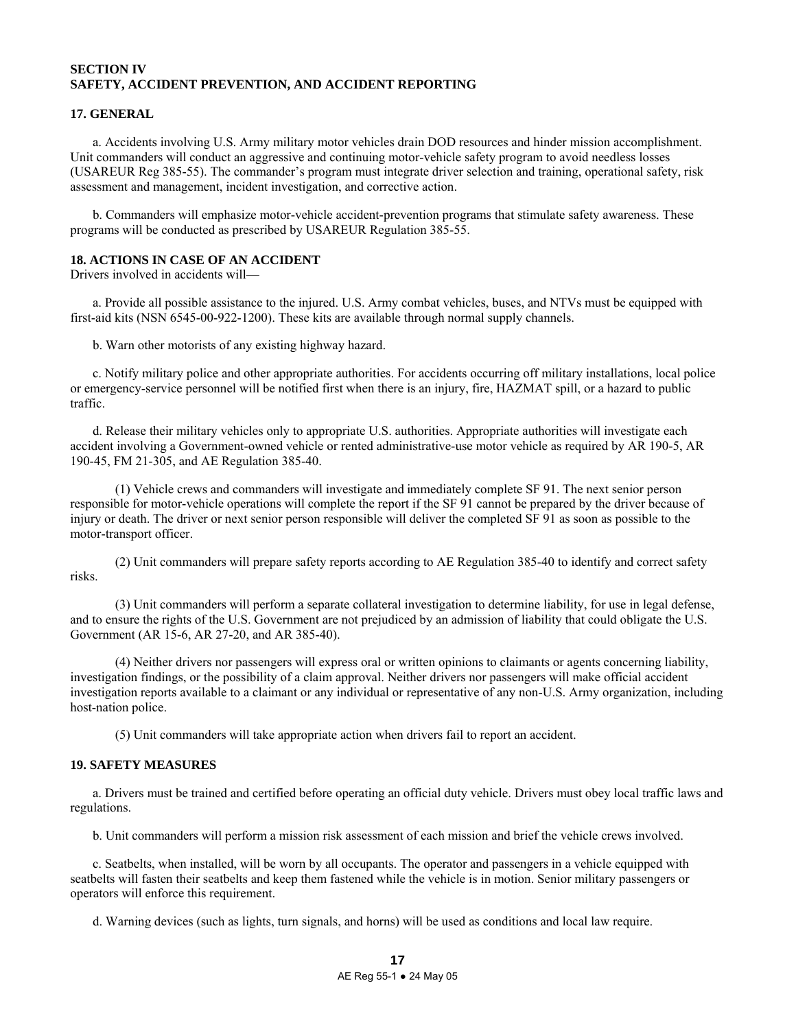# **SECTION IV SAFETY, ACCIDENT PREVENTION, AND ACCIDENT REPORTING**

# **17. GENERAL**

 a. Accidents involving U.S. Army military motor vehicles drain DOD resources and hinder mission accomplishment. Unit commanders will conduct an aggressive and continuing motor-vehicle safety program to avoid needless losses (USAREUR Reg 385-55). The commander's program must integrate driver selection and training, operational safety, risk assessment and management, incident investigation, and corrective action.

 b. Commanders will emphasize motor-vehicle accident-prevention programs that stimulate safety awareness. These programs will be conducted as prescribed by USAREUR Regulation 385-55.

### **18. ACTIONS IN CASE OF AN ACCIDENT**

Drivers involved in accidents will—

 a. Provide all possible assistance to the injured. U.S. Army combat vehicles, buses, and NTVs must be equipped with first-aid kits (NSN 6545-00-922-1200). These kits are available through normal supply channels.

b. Warn other motorists of any existing highway hazard.

 c. Notify military police and other appropriate authorities. For accidents occurring off military installations, local police or emergency-service personnel will be notified first when there is an injury, fire, HAZMAT spill, or a hazard to public traffic.

 d. Release their military vehicles only to appropriate U.S. authorities. Appropriate authorities will investigate each accident involving a Government-owned vehicle or rented administrative-use motor vehicle as required by AR 190-5, AR 190-45, FM 21-305, and AE Regulation 385-40.

 (1) Vehicle crews and commanders will investigate and immediately complete SF 91. The next senior person responsible for motor-vehicle operations will complete the report if the SF 91 cannot be prepared by the driver because of injury or death. The driver or next senior person responsible will deliver the completed SF 91 as soon as possible to the motor-transport officer.

 (2) Unit commanders will prepare safety reports according to AE Regulation 385-40 to identify and correct safety risks.

 (3) Unit commanders will perform a separate collateral investigation to determine liability, for use in legal defense, and to ensure the rights of the U.S. Government are not prejudiced by an admission of liability that could obligate the U.S. Government (AR 15-6, AR 27-20, and AR 385-40).

 (4) Neither drivers nor passengers will express oral or written opinions to claimants or agents concerning liability, investigation findings, or the possibility of a claim approval. Neither drivers nor passengers will make official accident investigation reports available to a claimant or any individual or representative of any non-U.S. Army organization, including host-nation police.

(5) Unit commanders will take appropriate action when drivers fail to report an accident.

# **19. SAFETY MEASURES**

 a. Drivers must be trained and certified before operating an official duty vehicle. Drivers must obey local traffic laws and regulations.

b. Unit commanders will perform a mission risk assessment of each mission and brief the vehicle crews involved.

 c. Seatbelts, when installed, will be worn by all occupants. The operator and passengers in a vehicle equipped with seatbelts will fasten their seatbelts and keep them fastened while the vehicle is in motion. Senior military passengers or operators will enforce this requirement.

d. Warning devices (such as lights, turn signals, and horns) will be used as conditions and local law require.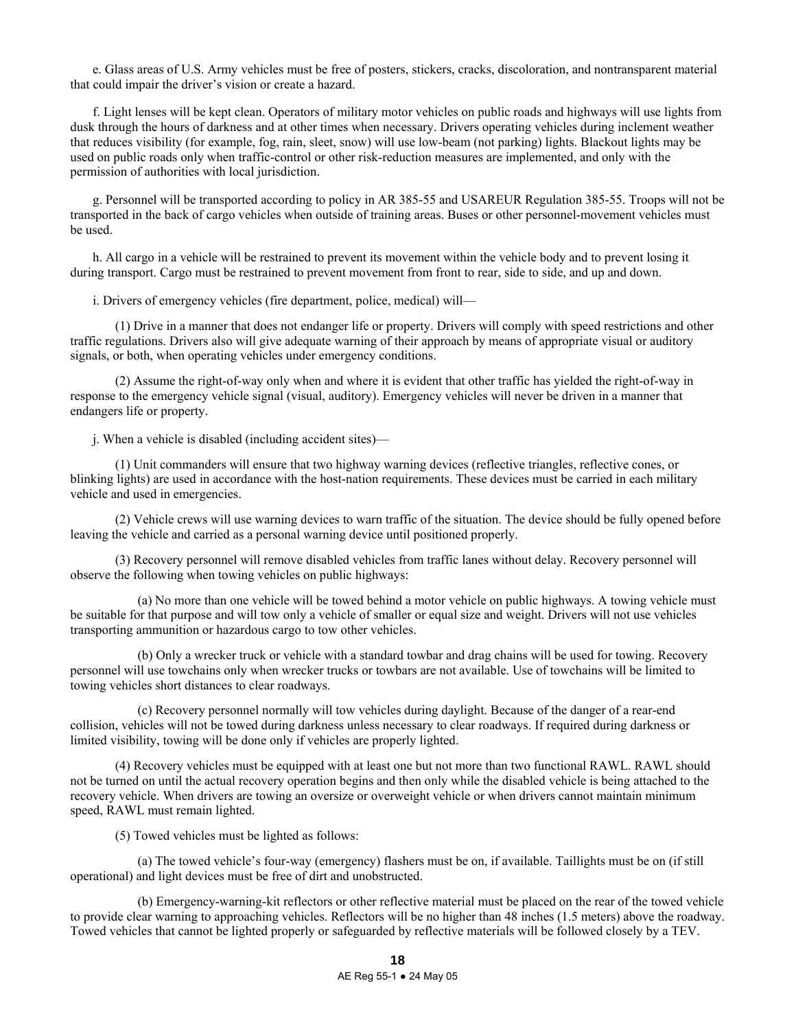e. Glass areas of U.S. Army vehicles must be free of posters, stickers, cracks, discoloration, and nontransparent material that could impair the driver's vision or create a hazard.

 f. Light lenses will be kept clean. Operators of military motor vehicles on public roads and highways will use lights from dusk through the hours of darkness and at other times when necessary. Drivers operating vehicles during inclement weather that reduces visibility (for example, fog, rain, sleet, snow) will use low-beam (not parking) lights. Blackout lights may be used on public roads only when traffic-control or other risk-reduction measures are implemented, and only with the permission of authorities with local jurisdiction.

 g. Personnel will be transported according to policy in AR 385-55 and USAREUR Regulation 385-55. Troops will not be transported in the back of cargo vehicles when outside of training areas. Buses or other personnel-movement vehicles must be used.

 h. All cargo in a vehicle will be restrained to prevent its movement within the vehicle body and to prevent losing it during transport. Cargo must be restrained to prevent movement from front to rear, side to side, and up and down.

i. Drivers of emergency vehicles (fire department, police, medical) will—

 (1) Drive in a manner that does not endanger life or property. Drivers will comply with speed restrictions and other traffic regulations. Drivers also will give adequate warning of their approach by means of appropriate visual or auditory signals, or both, when operating vehicles under emergency conditions.

 (2) Assume the right-of-way only when and where it is evident that other traffic has yielded the right-of-way in response to the emergency vehicle signal (visual, auditory). Emergency vehicles will never be driven in a manner that endangers life or property.

j. When a vehicle is disabled (including accident sites)—

 (1) Unit commanders will ensure that two highway warning devices (reflective triangles, reflective cones, or blinking lights) are used in accordance with the host-nation requirements. These devices must be carried in each military vehicle and used in emergencies.

 (2) Vehicle crews will use warning devices to warn traffic of the situation. The device should be fully opened before leaving the vehicle and carried as a personal warning device until positioned properly.

 (3) Recovery personnel will remove disabled vehicles from traffic lanes without delay. Recovery personnel will observe the following when towing vehicles on public highways:

 (a) No more than one vehicle will be towed behind a motor vehicle on public highways. A towing vehicle must be suitable for that purpose and will tow only a vehicle of smaller or equal size and weight. Drivers will not use vehicles transporting ammunition or hazardous cargo to tow other vehicles.

 (b) Only a wrecker truck or vehicle with a standard towbar and drag chains will be used for towing. Recovery personnel will use towchains only when wrecker trucks or towbars are not available. Use of towchains will be limited to towing vehicles short distances to clear roadways.

 (c) Recovery personnel normally will tow vehicles during daylight. Because of the danger of a rear-end collision, vehicles will not be towed during darkness unless necessary to clear roadways. If required during darkness or limited visibility, towing will be done only if vehicles are properly lighted.

 (4) Recovery vehicles must be equipped with at least one but not more than two functional RAWL. RAWL should not be turned on until the actual recovery operation begins and then only while the disabled vehicle is being attached to the recovery vehicle. When drivers are towing an oversize or overweight vehicle or when drivers cannot maintain minimum speed, RAWL must remain lighted.

(5) Towed vehicles must be lighted as follows:

 (a) The towed vehicle's four-way (emergency) flashers must be on, if available. Taillights must be on (if still operational) and light devices must be free of dirt and unobstructed.

 (b) Emergency-warning-kit reflectors or other reflective material must be placed on the rear of the towed vehicle to provide clear warning to approaching vehicles. Reflectors will be no higher than 48 inches (1.5 meters) above the roadway. Towed vehicles that cannot be lighted properly or safeguarded by reflective materials will be followed closely by a TEV.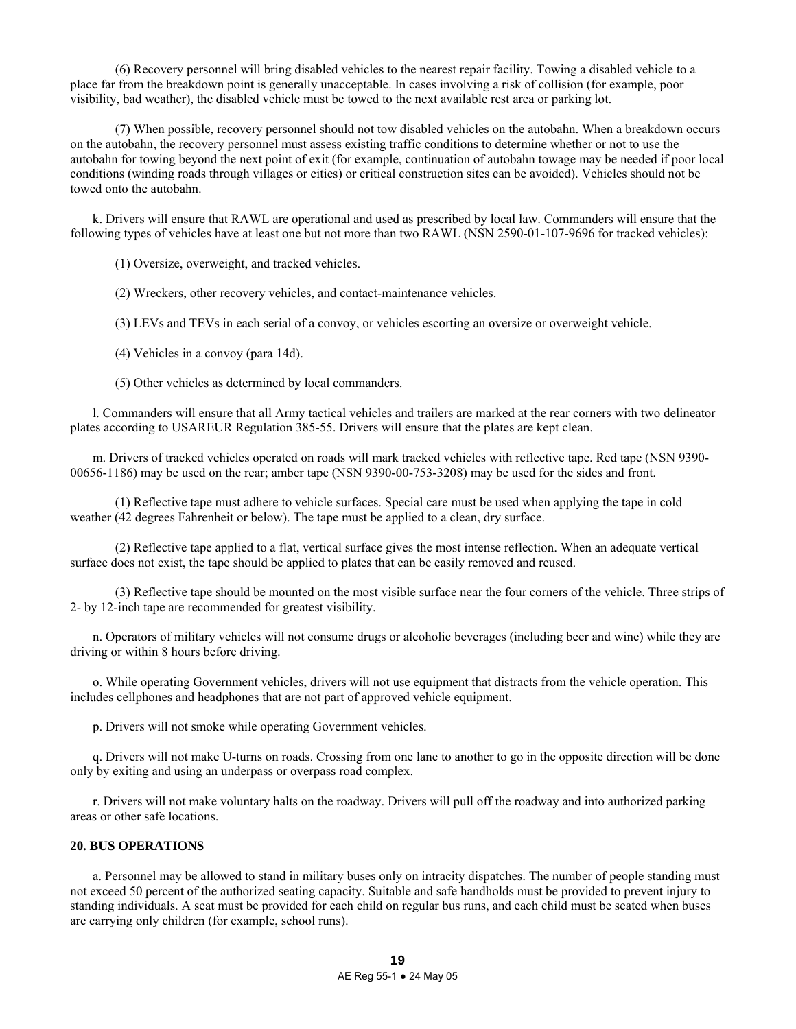(6) Recovery personnel will bring disabled vehicles to the nearest repair facility. Towing a disabled vehicle to a place far from the breakdown point is generally unacceptable. In cases involving a risk of collision (for example, poor visibility, bad weather), the disabled vehicle must be towed to the next available rest area or parking lot.

 (7) When possible, recovery personnel should not tow disabled vehicles on the autobahn. When a breakdown occurs on the autobahn, the recovery personnel must assess existing traffic conditions to determine whether or not to use the autobahn for towing beyond the next point of exit (for example, continuation of autobahn towage may be needed if poor local conditions (winding roads through villages or cities) or critical construction sites can be avoided). Vehicles should not be towed onto the autobahn.

 k. Drivers will ensure that RAWL are operational and used as prescribed by local law. Commanders will ensure that the following types of vehicles have at least one but not more than two RAWL (NSN 2590-01-107-9696 for tracked vehicles):

(1) Oversize, overweight, and tracked vehicles.

(2) Wreckers, other recovery vehicles, and contact-maintenance vehicles.

(3) LEVs and TEVs in each serial of a convoy, or vehicles escorting an oversize or overweight vehicle.

(4) Vehicles in a convoy (para 14d).

(5) Other vehicles as determined by local commanders.

 l. Commanders will ensure that all Army tactical vehicles and trailers are marked at the rear corners with two delineator plates according to USAREUR Regulation 385-55. Drivers will ensure that the plates are kept clean.

 m. Drivers of tracked vehicles operated on roads will mark tracked vehicles with reflective tape. Red tape (NSN 9390- 00656-1186) may be used on the rear; amber tape (NSN 9390-00-753-3208) may be used for the sides and front.

 (1) Reflective tape must adhere to vehicle surfaces. Special care must be used when applying the tape in cold weather (42 degrees Fahrenheit or below). The tape must be applied to a clean, dry surface.

 (2) Reflective tape applied to a flat, vertical surface gives the most intense reflection. When an adequate vertical surface does not exist, the tape should be applied to plates that can be easily removed and reused.

 (3) Reflective tape should be mounted on the most visible surface near the four corners of the vehicle. Three strips of 2- by 12-inch tape are recommended for greatest visibility.

 n. Operators of military vehicles will not consume drugs or alcoholic beverages (including beer and wine) while they are driving or within 8 hours before driving.

 o. While operating Government vehicles, drivers will not use equipment that distracts from the vehicle operation. This includes cellphones and headphones that are not part of approved vehicle equipment.

p. Drivers will not smoke while operating Government vehicles.

 q. Drivers will not make U-turns on roads. Crossing from one lane to another to go in the opposite direction will be done only by exiting and using an underpass or overpass road complex.

 r. Drivers will not make voluntary halts on the roadway. Drivers will pull off the roadway and into authorized parking areas or other safe locations.

# **20. BUS OPERATIONS**

 a. Personnel may be allowed to stand in military buses only on intracity dispatches. The number of people standing must not exceed 50 percent of the authorized seating capacity. Suitable and safe handholds must be provided to prevent injury to standing individuals. A seat must be provided for each child on regular bus runs, and each child must be seated when buses are carrying only children (for example, school runs).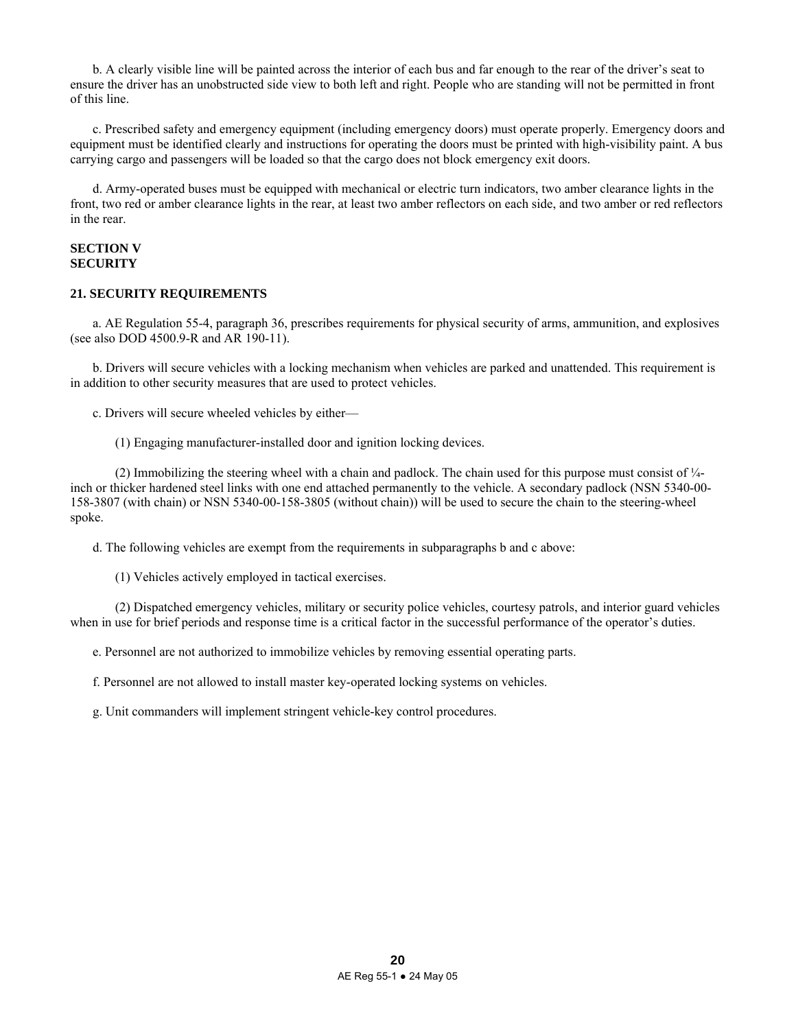b. A clearly visible line will be painted across the interior of each bus and far enough to the rear of the driver's seat to ensure the driver has an unobstructed side view to both left and right. People who are standing will not be permitted in front of this line.

 c. Prescribed safety and emergency equipment (including emergency doors) must operate properly. Emergency doors and equipment must be identified clearly and instructions for operating the doors must be printed with high-visibility paint. A bus carrying cargo and passengers will be loaded so that the cargo does not block emergency exit doors.

 d. Army-operated buses must be equipped with mechanical or electric turn indicators, two amber clearance lights in the front, two red or amber clearance lights in the rear, at least two amber reflectors on each side, and two amber or red reflectors in the rear.

# **SECTION V SECURITY**

### **21. SECURITY REQUIREMENTS**

 a. AE Regulation 55-4, paragraph 36, prescribes requirements for physical security of arms, ammunition, and explosives (see also DOD 4500.9-R and AR 190-11).

 b. Drivers will secure vehicles with a locking mechanism when vehicles are parked and unattended. This requirement is in addition to other security measures that are used to protect vehicles.

c. Drivers will secure wheeled vehicles by either—

(1) Engaging manufacturer-installed door and ignition locking devices.

 (2) Immobilizing the steering wheel with a chain and padlock. The chain used for this purpose must consist of ¼ inch or thicker hardened steel links with one end attached permanently to the vehicle. A secondary padlock (NSN 5340-00- 158-3807 (with chain) or NSN 5340-00-158-3805 (without chain)) will be used to secure the chain to the steering-wheel spoke.

d. The following vehicles are exempt from the requirements in subparagraphs b and c above:

(1) Vehicles actively employed in tactical exercises.

 (2) Dispatched emergency vehicles, military or security police vehicles, courtesy patrols, and interior guard vehicles when in use for brief periods and response time is a critical factor in the successful performance of the operator's duties.

e. Personnel are not authorized to immobilize vehicles by removing essential operating parts.

f. Personnel are not allowed to install master key-operated locking systems on vehicles.

g. Unit commanders will implement stringent vehicle-key control procedures.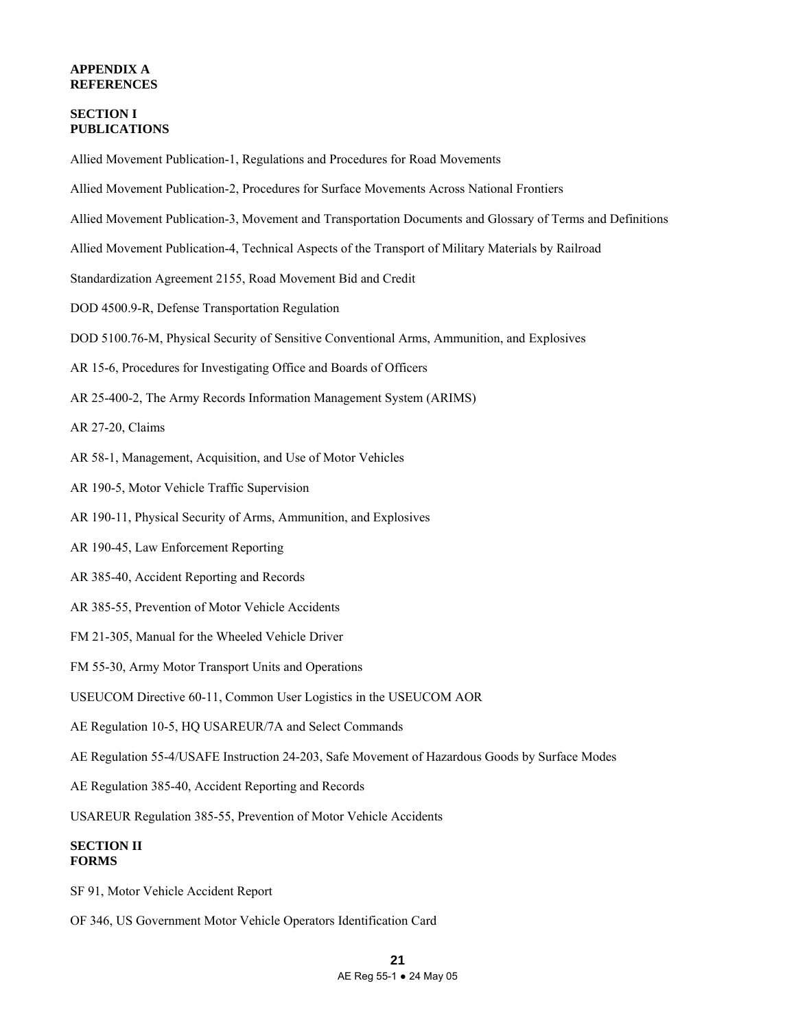# **APPENDIX A REFERENCES**

# **SECTION I PUBLICATIONS**

Allied Movement Publication-1, Regulations and Procedures for Road Movements

- Allied Movement Publication-2, Procedures for Surface Movements Across National Frontiers
- Allied Movement Publication-3, Movement and Transportation Documents and Glossary of Terms and Definitions
- Allied Movement Publication-4, Technical Aspects of the Transport of Military Materials by Railroad
- Standardization Agreement 2155, Road Movement Bid and Credit
- DOD 4500.9-R, Defense Transportation Regulation
- DOD 5100.76-M, Physical Security of Sensitive Conventional Arms, Ammunition, and Explosives
- AR 15-6, Procedures for Investigating Office and Boards of Officers
- AR 25-400-2, The Army Records Information Management System (ARIMS)
- AR 27-20, Claims
- AR 58-1, Management, Acquisition, and Use of Motor Vehicles
- AR 190-5, Motor Vehicle Traffic Supervision
- AR 190-11, Physical Security of Arms, Ammunition, and Explosives
- AR 190-45, Law Enforcement Reporting
- AR 385-40, Accident Reporting and Records
- AR 385-55, Prevention of Motor Vehicle Accidents
- FM 21-305, Manual for the Wheeled Vehicle Driver
- FM 55-30, Army Motor Transport Units and Operations
- USEUCOM Directive 60-11, Common User Logistics in the USEUCOM AOR
- AE Regulation 10-5, HQ USAREUR/7A and Select Commands
- AE Regulation 55-4/USAFE Instruction 24-203, Safe Movement of Hazardous Goods by Surface Modes
- AE Regulation 385-40, Accident Reporting and Records
- USAREUR Regulation 385-55, Prevention of Motor Vehicle Accidents

# **SECTION II FORMS**

- SF 91, Motor Vehicle Accident Report
- OF 346, US Government Motor Vehicle Operators Identification Card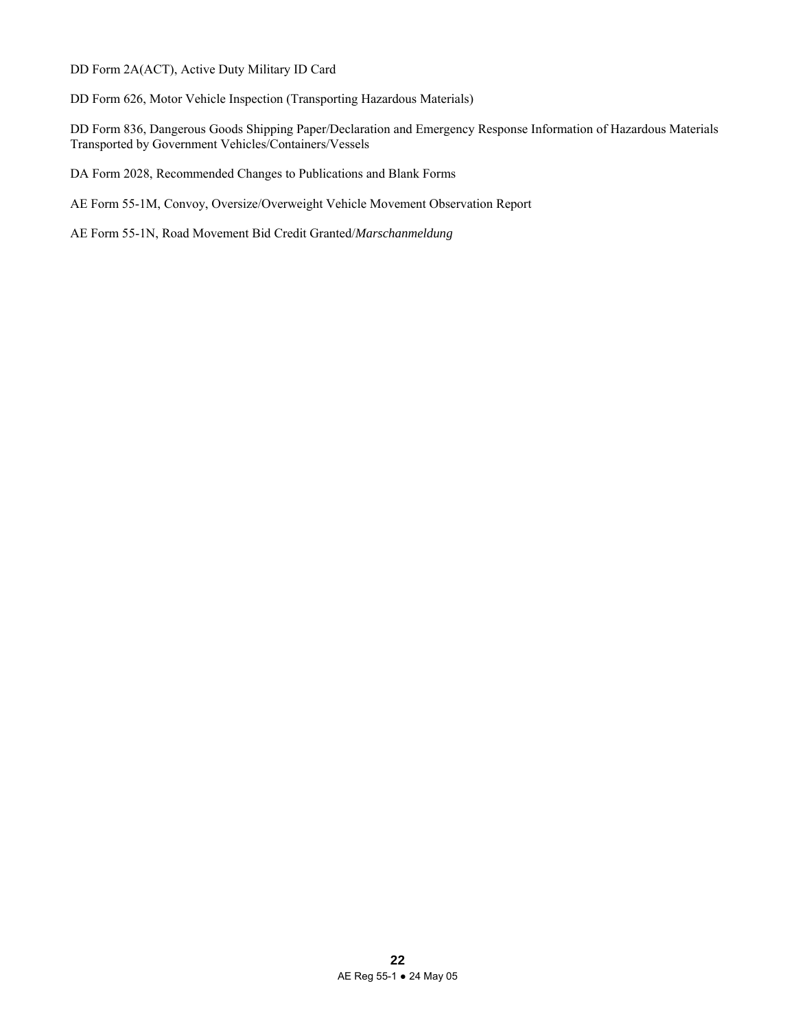DD Form 2A(ACT), Active Duty Military ID Card

DD Form 626, Motor Vehicle Inspection (Transporting Hazardous Materials)

DD Form 836, Dangerous Goods Shipping Paper/Declaration and Emergency Response Information of Hazardous Materials Transported by Government Vehicles/Containers/Vessels

DA Form 2028, Recommended Changes to Publications and Blank Forms

AE Form 55-1M, Convoy, Oversize/Overweight Vehicle Movement Observation Report

AE Form 55-1N, Road Movement Bid Credit Granted/*Marschanmeldung*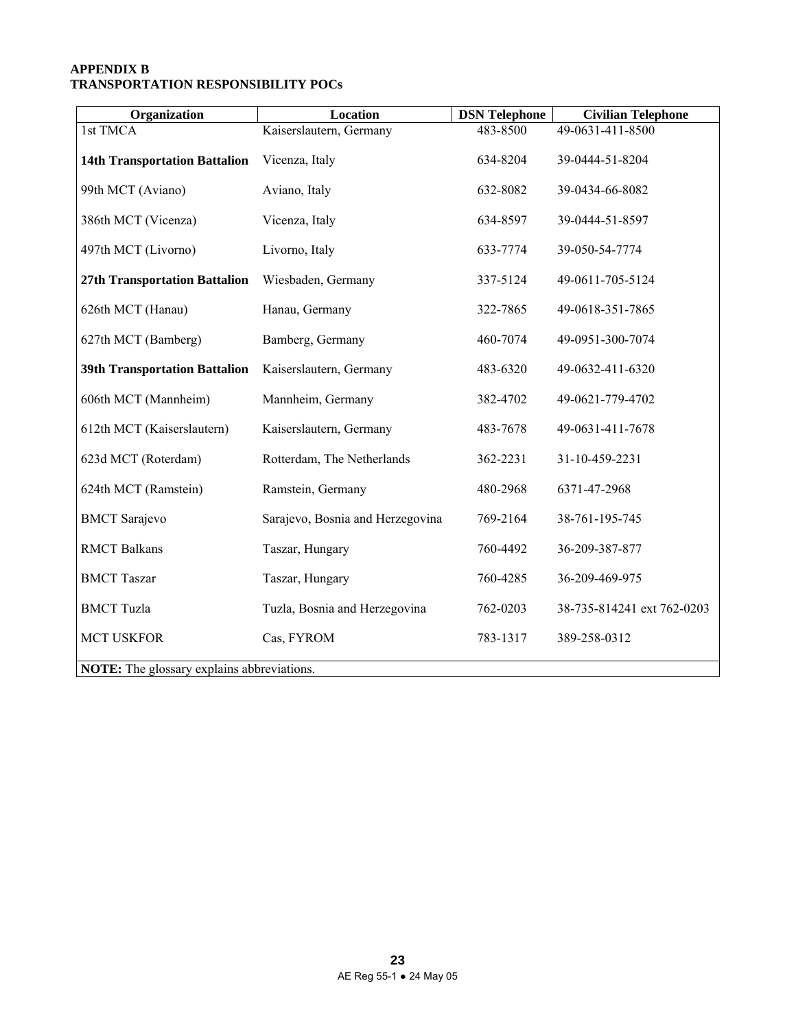# **APPENDIX B TRANSPORTATION RESPONSIBILITY POCs**

| Organization                                      | <b>Location</b>                  | <b>DSN</b> Telephone | <b>Civilian Telephone</b>  |  |  |  |
|---------------------------------------------------|----------------------------------|----------------------|----------------------------|--|--|--|
| 1st TMCA                                          | Kaiserslautern, Germany          | 483-8500             | 49-0631-411-8500           |  |  |  |
| <b>14th Transportation Battalion</b>              | Vicenza, Italy                   | 634-8204             | 39-0444-51-8204            |  |  |  |
| 99th MCT (Aviano)                                 | Aviano, Italy                    | 632-8082             | 39-0434-66-8082            |  |  |  |
| 386th MCT (Vicenza)                               | Vicenza, Italy                   | 634-8597             | 39-0444-51-8597            |  |  |  |
| 497th MCT (Livorno)                               | Livorno, Italy                   | 633-7774             | 39-050-54-7774             |  |  |  |
| 27th Transportation Battalion                     | Wiesbaden, Germany               | 337-5124             | 49-0611-705-5124           |  |  |  |
| 626th MCT (Hanau)                                 | Hanau, Germany                   | 322-7865             | 49-0618-351-7865           |  |  |  |
| 627th MCT (Bamberg)                               | Bamberg, Germany                 | 460-7074             | 49-0951-300-7074           |  |  |  |
| <b>39th Transportation Battalion</b>              | Kaiserslautern, Germany          | 483-6320             | 49-0632-411-6320           |  |  |  |
| 606th MCT (Mannheim)                              | Mannheim, Germany                | 382-4702             | 49-0621-779-4702           |  |  |  |
| 612th MCT (Kaiserslautern)                        | Kaiserslautern, Germany          | 483-7678             | 49-0631-411-7678           |  |  |  |
| 623d MCT (Roterdam)                               | Rotterdam, The Netherlands       | 362-2231             | 31-10-459-2231             |  |  |  |
| 624th MCT (Ramstein)                              | Ramstein, Germany                | 480-2968             | 6371-47-2968               |  |  |  |
| <b>BMCT</b> Sarajevo                              | Sarajevo, Bosnia and Herzegovina | 769-2164             | 38-761-195-745             |  |  |  |
| <b>RMCT Balkans</b>                               | Taszar, Hungary                  | 760-4492             | 36-209-387-877             |  |  |  |
| <b>BMCT</b> Taszar                                | Taszar, Hungary                  | 760-4285             | 36-209-469-975             |  |  |  |
| <b>BMCT</b> Tuzla                                 | Tuzla, Bosnia and Herzegovina    | 762-0203             | 38-735-814241 ext 762-0203 |  |  |  |
| <b>MCT USKFOR</b>                                 | Cas, FYROM                       | 783-1317             | 389-258-0312               |  |  |  |
| <b>NOTE:</b> The glossary explains abbreviations. |                                  |                      |                            |  |  |  |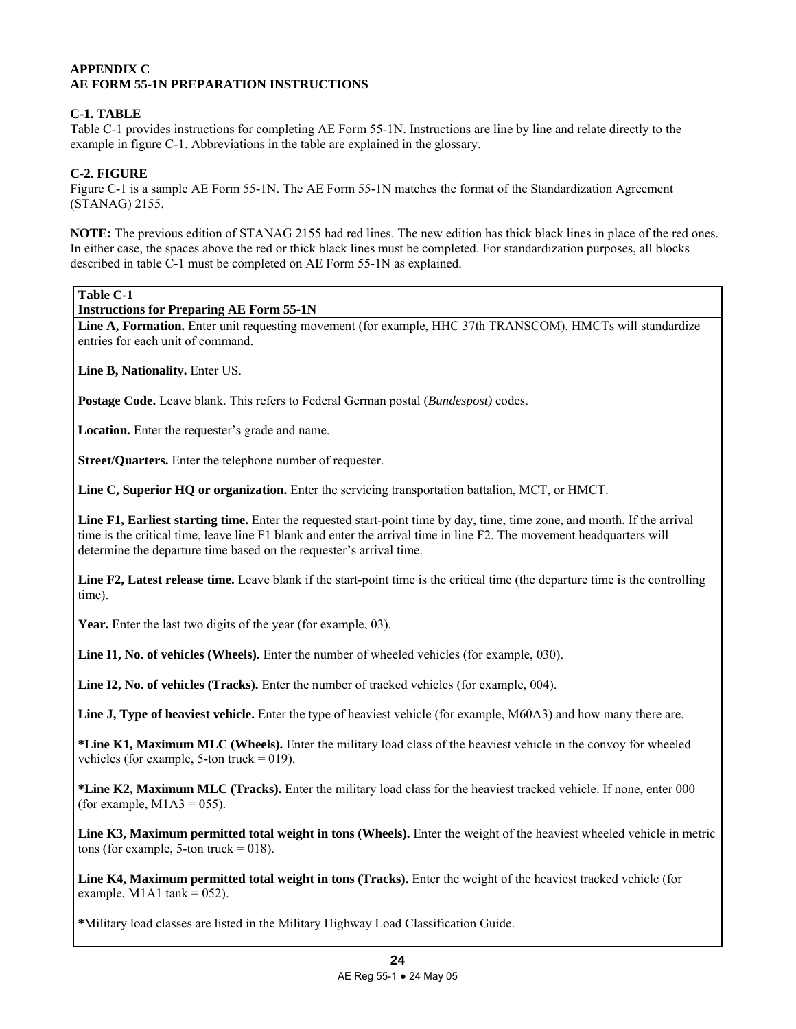# **APPENDIX C AE FORM 55-1N PREPARATION INSTRUCTIONS**

# **C-1. TABLE**

Table C-1 provides instructions for completing AE Form 55-1N. Instructions are line by line and relate directly to the example in figure C-1. Abbreviations in the table are explained in the glossary.

# **C-2. FIGURE**

Figure C-1 is a sample AE Form 55-1N. The AE Form 55-1N matches the format of the Standardization Agreement (STANAG) 2155.

**NOTE:** The previous edition of STANAG 2155 had red lines. The new edition has thick black lines in place of the red ones. In either case, the spaces above the red or thick black lines must be completed. For standardization purposes, all blocks described in table C-1 must be completed on AE Form 55-1N as explained.

# **Table C-1**

**Instructions for Preparing AE Form 55-1N** 

Line A, Formation. Enter unit requesting movement (for example, HHC 37th TRANSCOM). HMCTs will standardize entries for each unit of command.

**Line B, Nationality.** Enter US.

**Postage Code.** Leave blank. This refers to Federal German postal (*Bundespost)* codes.

**Location.** Enter the requester's grade and name.

**Street/Quarters.** Enter the telephone number of requester.

**Line C, Superior HQ or organization.** Enter the servicing transportation battalion, MCT, or HMCT.

**Line F1, Earliest starting time.** Enter the requested start-point time by day, time, time zone, and month. If the arrival time is the critical time, leave line F1 blank and enter the arrival time in line F2. The movement headquarters will determine the departure time based on the requester's arrival time.

**Line F2, Latest release time.** Leave blank if the start-point time is the critical time (the departure time is the controlling time).

Year. Enter the last two digits of the year (for example, 03).

Line I1, No. of vehicles (Wheels). Enter the number of wheeled vehicles (for example, 030).

**Line I2, No. of vehicles (Tracks).** Enter the number of tracked vehicles (for example, 004).

**Line J, Type of heaviest vehicle.** Enter the type of heaviest vehicle (for example, M60A3) and how many there are.

**\*Line K1, Maximum MLC (Wheels).** Enter the military load class of the heaviest vehicle in the convoy for wheeled vehicles (for example, 5-ton truck  $= 019$ ).

**\*Line K2, Maximum MLC (Tracks).** Enter the military load class for the heaviest tracked vehicle. If none, enter 000 (for example,  $M1A3 = 055$ ).

**Line K3, Maximum permitted total weight in tons (Wheels).** Enter the weight of the heaviest wheeled vehicle in metric tons (for example, 5-ton truck  $= 018$ ).

**Line K4, Maximum permitted total weight in tons (Tracks).** Enter the weight of the heaviest tracked vehicle (for example, M1A1 tank =  $052$ ).

**\***Military load classes are listed in the Military Highway Load Classification Guide.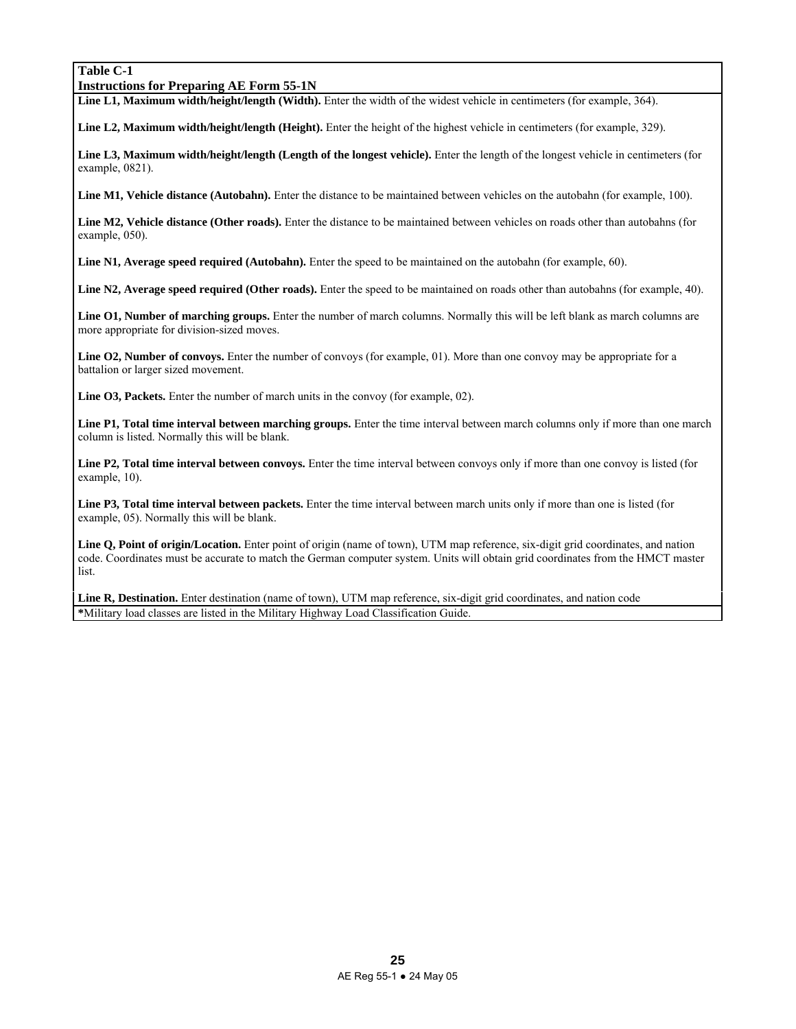# **Table C-1**

### **Instructions for Preparing AE Form 55-1N**

Line L1, Maximum width/height/length (Width). Enter the width of the widest vehicle in centimeters (for example, 364).

**Line L2, Maximum width/height/length (Height).** Enter the height of the highest vehicle in centimeters (for example, 329).

**Line L3, Maximum width/height/length (Length of the longest vehicle).** Enter the length of the longest vehicle in centimeters (for example, 0821).

**Line M1, Vehicle distance (Autobahn).** Enter the distance to be maintained between vehicles on the autobahn (for example, 100).

**Line M2, Vehicle distance (Other roads).** Enter the distance to be maintained between vehicles on roads other than autobahns (for example, 050).

Line N1, Average speed required (Autobahn). Enter the speed to be maintained on the autobahn (for example, 60).

Line N2, Average speed required (Other roads). Enter the speed to be maintained on roads other than autobahns (for example, 40).

**Line O1, Number of marching groups.** Enter the number of march columns. Normally this will be left blank as march columns are more appropriate for division-sized moves.

Line O2, Number of convoys. Enter the number of convoys (for example, 01). More than one convoy may be appropriate for a battalion or larger sized movement.

**Line O3, Packets.** Enter the number of march units in the convoy (for example, 02).

**Line P1, Total time interval between marching groups.** Enter the time interval between march columns only if more than one march column is listed. Normally this will be blank.

**Line P2, Total time interval between convoys.** Enter the time interval between convoys only if more than one convoy is listed (for example, 10).

**Line P3, Total time interval between packets.** Enter the time interval between march units only if more than one is listed (for example, 05). Normally this will be blank.

Line Q, Point of origin/Location. Enter point of origin (name of town), UTM map reference, six-digit grid coordinates, and nation code. Coordinates must be accurate to match the German computer system. Units will obtain grid coordinates from the HMCT master list.

Line R, Destination. Enter destination (name of town), UTM map reference, six-digit grid coordinates, and nation code **\***Military load classes are listed in the Military Highway Load Classification Guide.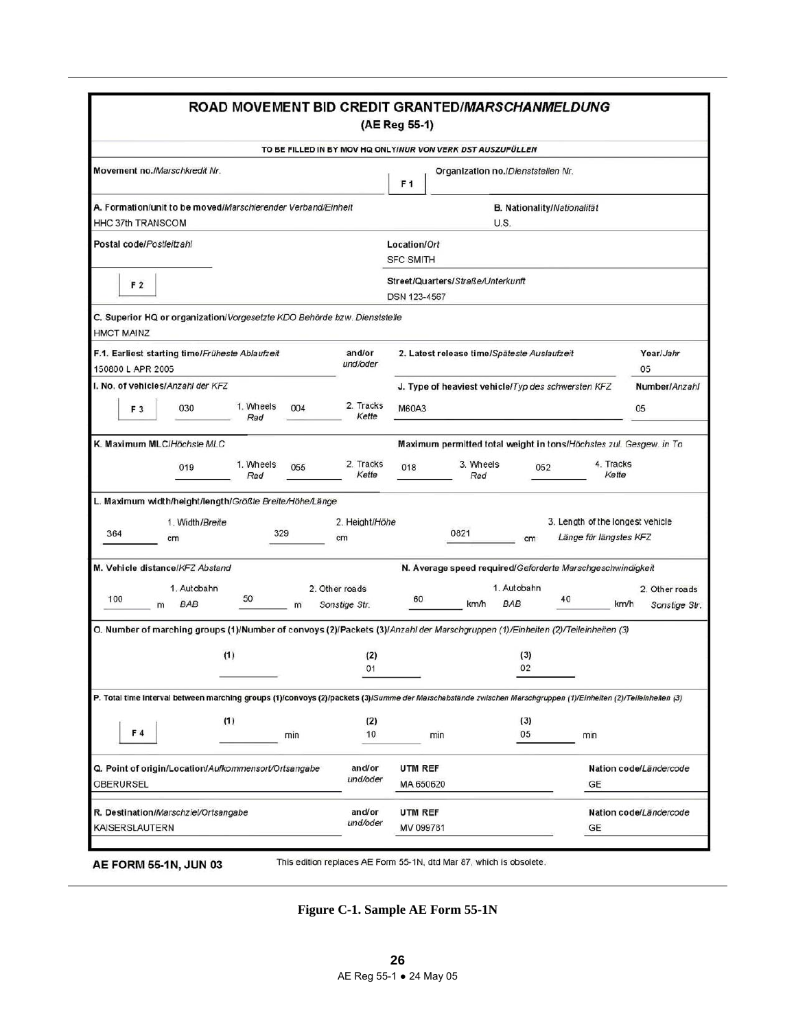|                                                                                                                                                                | ROAD MOVEMENT BID CREDIT GRANTED/MARSCHANMELDUNG |                                 | (AE Reg 55-1)                    |                                                                    |                                                            |                                         |
|----------------------------------------------------------------------------------------------------------------------------------------------------------------|--------------------------------------------------|---------------------------------|----------------------------------|--------------------------------------------------------------------|------------------------------------------------------------|-----------------------------------------|
|                                                                                                                                                                |                                                  |                                 |                                  | TO BE FILLED IN BY MOV HQ ONLYINUR VON VERK DST AUSZUFÜLLEN        |                                                            |                                         |
| Movement no./Marschkredit Nr.                                                                                                                                  |                                                  |                                 | F <sub>1</sub>                   | Organization no./Dienststellen Nr.                                 |                                                            |                                         |
| A. Formation/unit to be moved/Marschierender Verband/Einheit<br><b>HHC 37th TRANSCOM</b>                                                                       |                                                  |                                 |                                  | B. Nationality/Nationalität<br>U.S.                                |                                                            |                                         |
| Postal code/Postleitzahl                                                                                                                                       |                                                  |                                 | Location/Ort<br><b>SFC SMITH</b> |                                                                    |                                                            |                                         |
| F <sub>2</sub>                                                                                                                                                 |                                                  |                                 | DSN 123-4567                     | Street/Quarters/Straße/Unterkunft                                  |                                                            |                                         |
| C. Superior HQ or organization/Vorgesetzte KDO Behörde bzw. Dienststelle<br><b>HMCT MAINZ</b>                                                                  |                                                  |                                 |                                  |                                                                    |                                                            |                                         |
| F.1. Earliest starting time/Früheste Ablaufzeit<br>150800 L APR 2005                                                                                           |                                                  | and/or<br>und/oder              |                                  | 2. Latest release time/Späteste Auslaufzeit                        |                                                            | Year/Jahr<br>05                         |
| I. No. of vehicles/Anzahl der KFZ                                                                                                                              |                                                  |                                 |                                  | J. Type of heaviest vehicle/Typ des schwersten KFZ                 |                                                            | Number/Anzahl                           |
| 030<br>F <sub>3</sub>                                                                                                                                          | 1. Wheels<br>004<br>Rad                          | 2. Tracks<br>Kette              | M60A3                            |                                                                    |                                                            | 05                                      |
| K. Maximum MLC/Höchste MLC                                                                                                                                     |                                                  |                                 |                                  | Maximum permitted total weight in tons/Höchstes zul. Gesgew. in To |                                                            |                                         |
| 019                                                                                                                                                            | 1. Wheels<br>055<br>Rad                          | 2. Tracks<br>Kette              | 018                              | 3. Wheels<br>052<br>Rad                                            | 4. Tracks<br>Kette                                         |                                         |
| L. Maximum width/height/length/Größte Breite/Höhe/Länge<br>1. Width/Breite<br>364<br>cm                                                                        | 329                                              | 2. Height/Höhe<br>cm            |                                  | 0821<br>cm                                                         | 3. Length of the longest vehicle<br>Länge für längstes KFZ |                                         |
| M. Vehicle distance/KFZ Abstand                                                                                                                                |                                                  |                                 |                                  | N. Average speed required/Geforderte Marschgeschwindigkeit         |                                                            |                                         |
| 1. Autobahn<br>100<br><b>BAB</b><br>m                                                                                                                          | 50<br>m                                          | 2. Other roads<br>Sonstige Str. | 60                               | 1. Autobahn<br>km/h<br><b>BAB</b>                                  | 40                                                         | 2. Other roads<br>km/h<br>Sonstige Str. |
| O. Number of marching groups (1)/Number of convoys (2)/Packets (3)/Anzahl der Marschgruppen (1)/Einheiten (2)/Teileinheiten (3)                                |                                                  |                                 |                                  |                                                                    |                                                            |                                         |
|                                                                                                                                                                | (1)                                              | (2)<br>01                       |                                  | (3)<br>02                                                          |                                                            |                                         |
| P. Total time interval between marching groups (1)/convoys (2)/packets (3)/Summe der Marschabstände zwischen Marschgruppen (1)/Einheiten (2)/Teileinheiten (3) |                                                  |                                 |                                  |                                                                    |                                                            |                                         |
| F4                                                                                                                                                             | (1)<br>min                                       | (2)<br>10                       | min                              | (3)<br>05                                                          | min                                                        |                                         |
|                                                                                                                                                                |                                                  |                                 |                                  |                                                                    |                                                            | Nation code/Ländercode                  |
| Q. Point of origin/Location/Aufkommensort/Ortsangabe<br><b>OBERURSEL</b>                                                                                       |                                                  | and/or<br>und/oder              | UTM REF<br>MA 650620             |                                                                    | GE                                                         |                                         |

**Figure C-1. Sample AE Form 55-1N**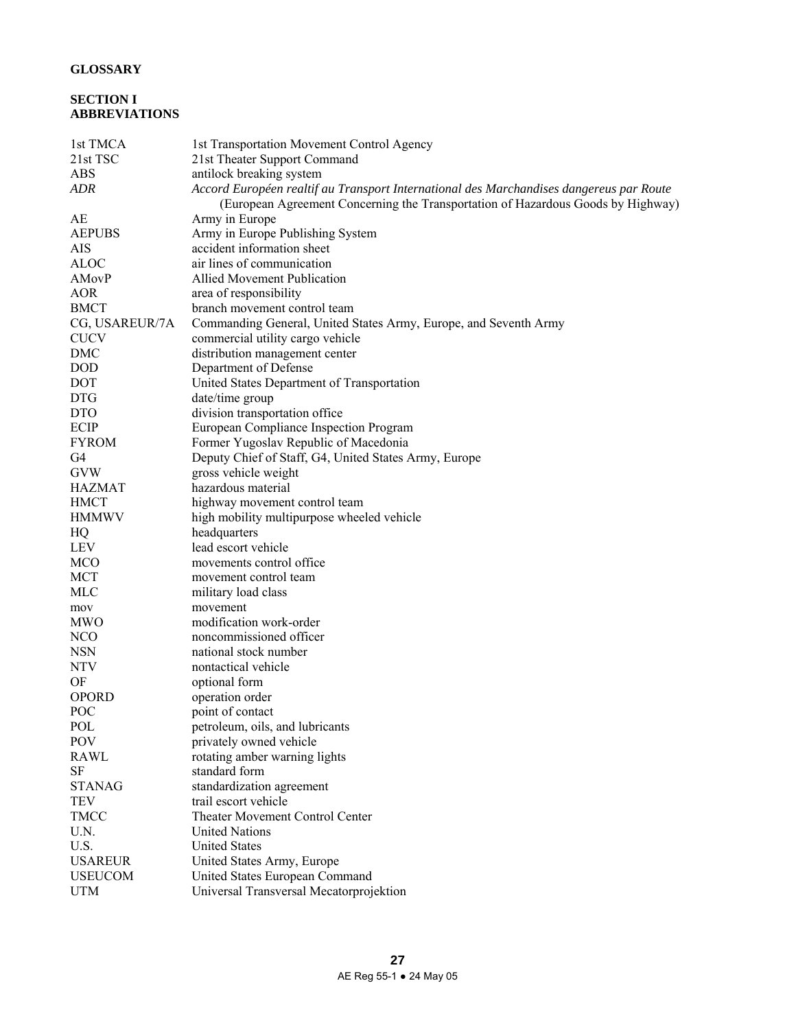# **GLOSSARY**

# **SECTION I ABBREVIATIONS**

| 1st TMCA       | 1st Transportation Movement Control Agency                                              |
|----------------|-----------------------------------------------------------------------------------------|
| 21st TSC       | 21st Theater Support Command                                                            |
| <b>ABS</b>     | antilock breaking system                                                                |
| <b>ADR</b>     | Accord Européen realtif au Transport International des Marchandises dangereus par Route |
|                | (European Agreement Concerning the Transportation of Hazardous Goods by Highway)        |
| AE             | Army in Europe                                                                          |
| <b>AEPUBS</b>  | Army in Europe Publishing System                                                        |
| AIS            | accident information sheet                                                              |
| <b>ALOC</b>    | air lines of communication                                                              |
| AMovP          | Allied Movement Publication                                                             |
| <b>AOR</b>     | area of responsibility                                                                  |
| <b>BMCT</b>    | branch movement control team                                                            |
| CG, USAREUR/7A | Commanding General, United States Army, Europe, and Seventh Army                        |
| <b>CUCV</b>    | commercial utility cargo vehicle                                                        |
| <b>DMC</b>     | distribution management center                                                          |
| <b>DOD</b>     | Department of Defense                                                                   |
| DOT            | United States Department of Transportation                                              |
| <b>DTG</b>     | date/time group                                                                         |
| <b>DTO</b>     | division transportation office                                                          |
| ECIP           | European Compliance Inspection Program                                                  |
| <b>FYROM</b>   | Former Yugoslav Republic of Macedonia                                                   |
| G4             | Deputy Chief of Staff, G4, United States Army, Europe                                   |
| <b>GVW</b>     | gross vehicle weight                                                                    |
| <b>HAZMAT</b>  | hazardous material                                                                      |
| <b>HMCT</b>    | highway movement control team                                                           |
| <b>HMMWV</b>   | high mobility multipurpose wheeled vehicle                                              |
| HQ             | headquarters                                                                            |
| <b>LEV</b>     | lead escort vehicle                                                                     |
| <b>MCO</b>     | movements control office.                                                               |
| <b>MCT</b>     | movement control team                                                                   |
| MLC            | military load class                                                                     |
| mov            | movement                                                                                |
| <b>MWO</b>     | modification work-order                                                                 |
| <b>NCO</b>     | noncommissioned officer                                                                 |
| <b>NSN</b>     | national stock number                                                                   |
| <b>NTV</b>     | nontactical vehicle                                                                     |
| OF             | optional form                                                                           |
| <b>OPORD</b>   | operation order                                                                         |
| POC            | point of contact                                                                        |
| POL            | petroleum, oils, and lubricants                                                         |
| POV            | privately owned vehicle                                                                 |
| <b>RAWL</b>    | rotating amber warning lights                                                           |
| SF             | standard form                                                                           |
| <b>STANAG</b>  | standardization agreement                                                               |
| <b>TEV</b>     | trail escort vehicle                                                                    |
| <b>TMCC</b>    | Theater Movement Control Center                                                         |
|                |                                                                                         |
| U.N.<br>U.S.   | <b>United Nations</b><br><b>United States</b>                                           |
|                |                                                                                         |
| <b>USAREUR</b> | United States Army, Europe                                                              |
| <b>USEUCOM</b> | United States European Command                                                          |
| <b>UTM</b>     | Universal Transversal Mecatorprojektion                                                 |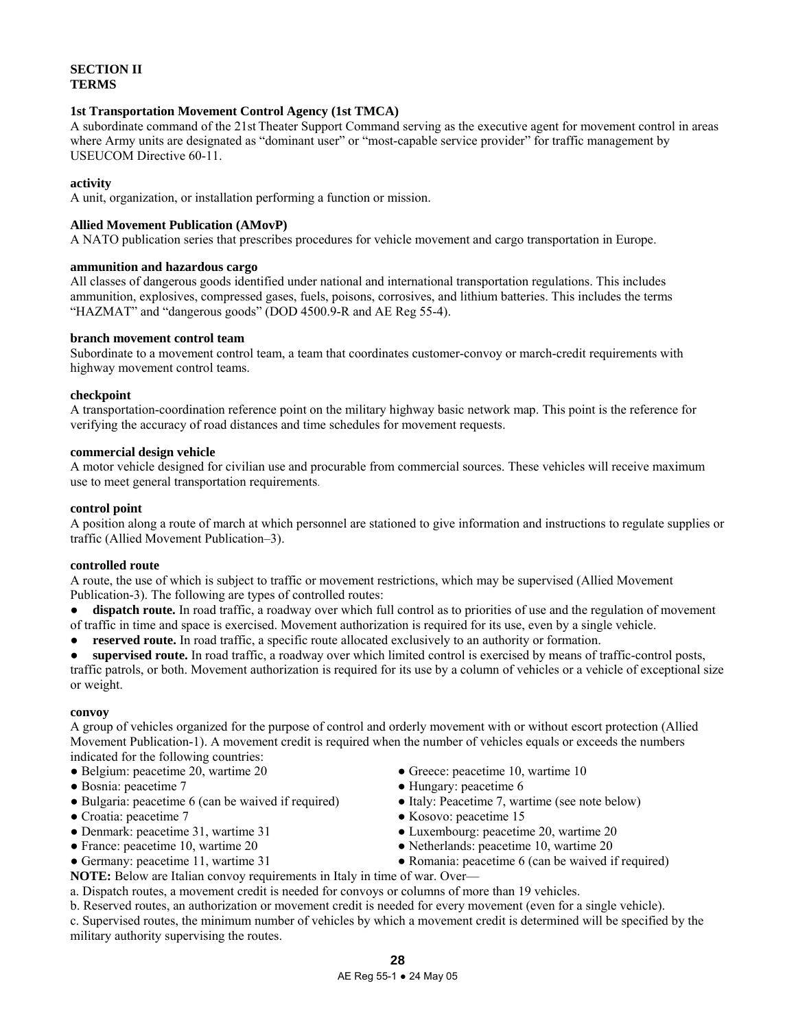# **SECTION II TERMS**

### **1st Transportation Movement Control Agency (1st TMCA)**

A subordinate command of the 21st Theater Support Command serving as the executive agent for movement control in areas where Army units are designated as "dominant user" or "most-capable service provider" for traffic management by USEUCOM Directive 60-11.

### **activity**

A unit, organization, or installation performing a function or mission.

# **Allied Movement Publication (AMovP)**

A NATO publication series that prescribes procedures for vehicle movement and cargo transportation in Europe.

### **ammunition and hazardous cargo**

All classes of dangerous goods identified under national and international transportation regulations. This includes ammunition, explosives, compressed gases, fuels, poisons, corrosives, and lithium batteries. This includes the terms "HAZMAT" and "dangerous goods" (DOD 4500.9-R and AE Reg 55-4).

### **branch movement control team**

Subordinate to a movement control team, a team that coordinates customer-convoy or march-credit requirements with highway movement control teams.

# **checkpoint**

A transportation-coordination reference point on the military highway basic network map. This point is the reference for verifying the accuracy of road distances and time schedules for movement requests.

### **commercial design vehicle**

A motor vehicle designed for civilian use and procurable from commercial sources. These vehicles will receive maximum use to meet general transportation requirements.

# **control point**

A position along a route of march at which personnel are stationed to give information and instructions to regulate supplies or traffic (Allied Movement Publication–3).

### **controlled route**

A route, the use of which is subject to traffic or movement restrictions, which may be supervised (Allied Movement Publication-3). The following are types of controlled routes:

**dispatch route.** In road traffic, a roadway over which full control as to priorities of use and the regulation of movement

- of traffic in time and space is exercised. Movement authorization is required for its use, even by a single vehicle.
- **reserved route.** In road traffic, a specific route allocated exclusively to an authority or formation.

**supervised route.** In road traffic, a roadway over which limited control is exercised by means of traffic-control posts, traffic patrols, or both. Movement authorization is required for its use by a column of vehicles or a vehicle of exceptional size or weight.

### **convoy**

A group of vehicles organized for the purpose of control and orderly movement with or without escort protection (Allied Movement Publication-1). A movement credit is required when the number of vehicles equals or exceeds the numbers indicated for the following countries:

- Belgium: peacetime 20, wartime 20
- Bosnia: peacetime 7
- Bulgaria: peacetime 6 (can be waived if required)
- Croatia: peacetime 7
- Denmark: peacetime 31, wartime 31
- France: peacetime 10, wartime 20
- Germany: peacetime 11, wartime 31

• Greece: peacetime 10, wartime 10 ● Hungary: peacetime 6

- 
- Italy: Peacetime 7, wartime (see note below) ● Kosovo: peacetime 15
- Luxembourg: peacetime 20, wartime 20
- Netherlands: peacetime 10, wartime 20
- 
- Romania: peacetime 6 (can be waived if required)
- **NOTE:** Below are Italian convoy requirements in Italy in time of war. Over a. Dispatch routes, a movement credit is needed for convoys or columns of more than 19 vehicles.
- b. Reserved routes, an authorization or movement credit is needed for every movement (even for a single vehicle).

c. Supervised routes, the minimum number of vehicles by which a movement credit is determined will be specified by the military authority supervising the routes.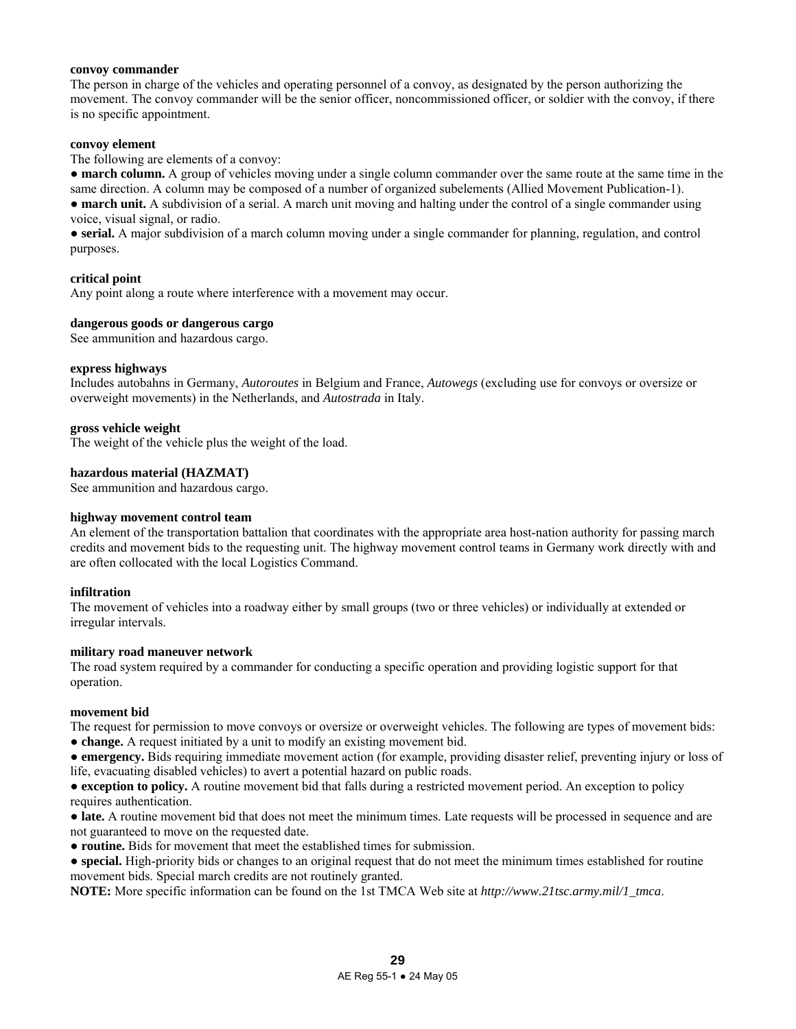### **convoy commander**

The person in charge of the vehicles and operating personnel of a convoy, as designated by the person authorizing the movement. The convoy commander will be the senior officer, noncommissioned officer, or soldier with the convoy, if there is no specific appointment.

### **convoy element**

The following are elements of a convoy:

• **march column.** A group of vehicles moving under a single column commander over the same route at the same time in the same direction. A column may be composed of a number of organized subelements (Allied Movement Publication-1).

• **march unit.** A subdivision of a serial. A march unit moving and halting under the control of a single commander using voice, visual signal, or radio.

● **serial.** A major subdivision of a march column moving under a single commander for planning, regulation, and control purposes.

### **critical point**

Any point along a route where interference with a movement may occur.

### **dangerous goods or dangerous cargo**

See ammunition and hazardous cargo.

### **express highways**

Includes autobahns in Germany, *Autoroutes* in Belgium and France, *Autowegs* (excluding use for convoys or oversize or overweight movements) in the Netherlands, and *Autostrada* in Italy.

### **gross vehicle weight**

The weight of the vehicle plus the weight of the load.

### **hazardous material (HAZMAT)**

See ammunition and hazardous cargo.

#### **highway movement control team**

An element of the transportation battalion that coordinates with the appropriate area host-nation authority for passing march credits and movement bids to the requesting unit. The highway movement control teams in Germany work directly with and are often collocated with the local Logistics Command.

#### **infiltration**

The movement of vehicles into a roadway either by small groups (two or three vehicles) or individually at extended or irregular intervals.

#### **military road maneuver network**

The road system required by a commander for conducting a specific operation and providing logistic support for that operation.

#### **movement bid**

The request for permission to move convoys or oversize or overweight vehicles. The following are types of movement bids: ● **change.** A request initiated by a unit to modify an existing movement bid.

● **emergency.** Bids requiring immediate movement action (for example, providing disaster relief, preventing injury or loss of life, evacuating disabled vehicles) to avert a potential hazard on public roads.

● **exception to policy.** A routine movement bid that falls during a restricted movement period. An exception to policy requires authentication.

• **late.** A routine movement bid that does not meet the minimum times. Late requests will be processed in sequence and are not guaranteed to move on the requested date.

● **routine.** Bids for movement that meet the established times for submission.

• **special.** High-priority bids or changes to an original request that do not meet the minimum times established for routine movement bids. Special march credits are not routinely granted.

**NOTE:** More specific information can be found on the 1st TMCA Web site at *http://www.21tsc.army.mil/1\_tmca*.